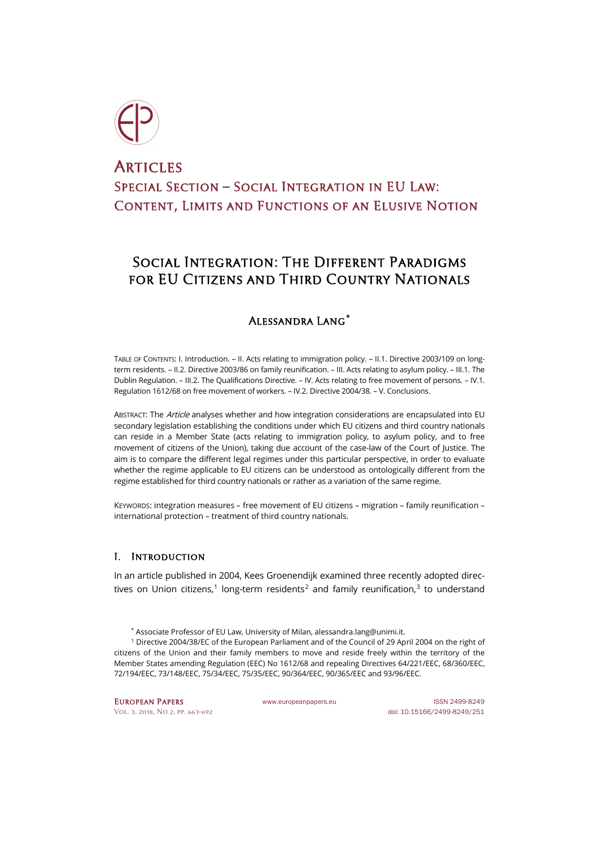

# **ARTICLES** Special Section – Social Integration in EU Law: Content, Limits and Functions of an Elusive Notion

## SOCIAL INTEGRATION: THE DIFFERENT PARADIGMS FOR EU CITIZENS AND THIRD COUNTRY NATIONALS

## Alessandra Lang**[\\*](#page-0-0)**

TABLE OF CONTENTS: I. Introduction. – II. Acts relating to immigration policy. – II.1. Directive 2003/109 on longterm residents. – II.2. Directive 2003/86 on family reunification. – III. Acts relating to asylum policy. – III.1. The Dublin Regulation. – III.2. The Qualifications Directive. – IV. Acts relating to free movement of persons. – IV.1. Regulation 1612/68 on free movement of workers. – IV.2. Directive 2004/38. – V. Conclusions.

ABSTRACT: The Article analyses whether and how integration considerations are encapsulated into EU secondary legislation establishing the conditions under which EU citizens and third country nationals can reside in a Member State (acts relating to immigration policy, to asylum policy, and to free movement of citizens of the Union), taking due account of the case-law of the Court of Justice. The aim is to compare the different legal regimes under this particular perspective, in order to evaluate whether the regime applicable to EU citizens can be understood as ontologically different from the regime established for third country nationals or rather as a variation of the same regime.

KEYWORDS: integration measures – free movement of EU citizens – migration – family reunification – international protection – treatment of third country nationals.

## I. Introduction

<span id="page-0-2"></span>In an article published in 2004, Kees Groenendijk examined three recently adopted direc-tives on Union citizens,<sup>[1](#page-0-1)</sup> long-term residents<sup>[2](#page-0-2)</sup> and family reunification,<sup>[3](#page-0-3)</sup> to understand

\* Associate Professor of EU Law, University of Milan[, alessandra.lang@unimi.it.](mailto:alessandra.lang@unimi.it)

<span id="page-0-3"></span><span id="page-0-1"></span><span id="page-0-0"></span><sup>1</sup> Directive 2004/38/EC of the European Parliament and of the Council of 29 April 2004 on the right of citizens of the Union and their family members to move and reside freely within the territory of the Member States amending Regulation (EEC) No 1612/68 and repealing Directives 64/221/EEC, 68/360/EEC, 72/194/EEC, 73/148/EEC, 75/34/EEC, 75/35/EEC, 90/364/EEC, 90/365/EEC and 93/96/EEC.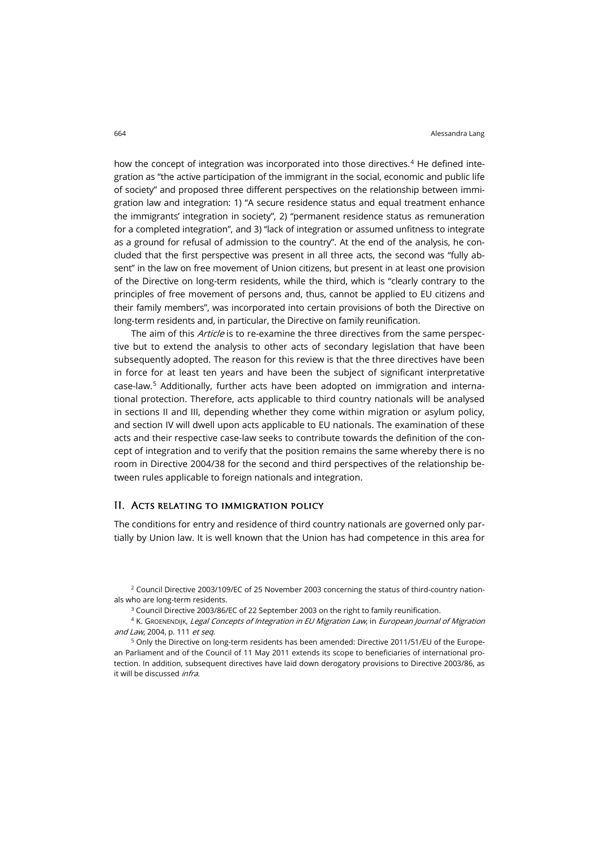how the concept of integration was incorporated into those directives. $4$  He defined integration as "the active participation of the immigrant in the social, economic and public life of society" and proposed three different perspectives on the relationship between immigration law and integration: 1) "A secure residence status and equal treatment enhance the immigrants' integration in society", 2) "permanent residence status as remuneration for a completed integration", and 3) "lack of integration or assumed unfitness to integrate as a ground for refusal of admission to the country". At the end of the analysis, he concluded that the first perspective was present in all three acts, the second was "fully absent" in the law on free movement of Union citizens, but present in at least one provision of the Directive on long-term residents, while the third, which is "clearly contrary to the principles of free movement of persons and, thus, cannot be applied to EU citizens and their family members", was incorporated into certain provisions of both the Directive on long-term residents and, in particular, the Directive on family reunification.

The aim of this *Article* is to re-examine the three directives from the same perspective but to extend the analysis to other acts of secondary legislation that have been subsequently adopted. The reason for this review is that the three directives have been in force for at least ten years and have been the subject of significant interpretative case-law.[5](#page-1-1) Additionally, further acts have been adopted on immigration and international protection. Therefore, acts applicable to third country nationals will be analysed in sections II and III, depending whether they come within migration or asylum policy, and section IV will dwell upon acts applicable to EU nationals. The examination of these acts and their respective case-law seeks to contribute towards the definition of the concept of integration and to verify that the position remains the same whereby there is no room in Directive 2004/38 for the second and third perspectives of the relationship between rules applicable to foreign nationals and integration.

#### II. Acts relating to immigration policy

The conditions for entry and residence of third country nationals are governed only partially by Union law. It is well known that the Union has had competence in this area for

<sup>2</sup> Council Directive 2003/109/EC of 25 November 2003 concerning the status of third-country nationals who are long-term residents.

<sup>3</sup> Council Directive 2003/86/EC of 22 September 2003 on the right to family reunification.

<span id="page-1-0"></span><sup>4</sup> K. GROENENDIJK, Legal Concepts of Integration in EU Migration Law, in European Journal of Migration and Law, 2004, p. 111 et seq.

<span id="page-1-1"></span><sup>5</sup> Only the Directive on long-term residents has been amended: Directive 2011/51/EU of the European Parliament and of the Council of 11 May 2011 extends its scope to beneficiaries of international protection. In addition, subsequent directives have laid down derogatory provisions to Directive 2003/86, as it will be discussed infra.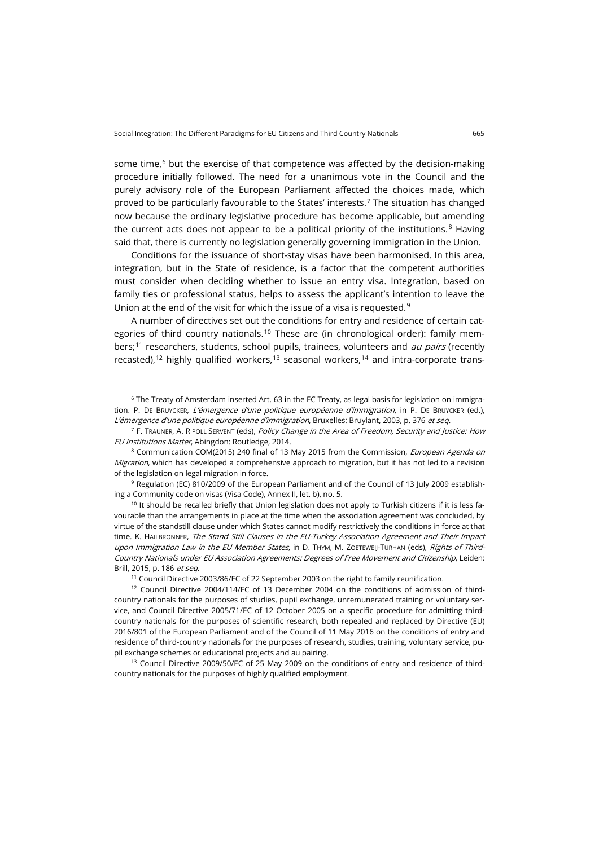some time, $6$  but the exercise of that competence was affected by the decision-making procedure initially followed. The need for a unanimous vote in the Council and the purely advisory role of the European Parliament affected the choices made, which proved to be particularly favourable to the States' interests.[7](#page-2-1) The situation has changed now because the ordinary legislative procedure has become applicable, but amending the current acts does not appear to be a political priority of the institutions. $8$  Having said that, there is currently no legislation generally governing immigration in the Union.

Conditions for the issuance of short-stay visas have been harmonised. In this area, integration, but in the State of residence, is a factor that the competent authorities must consider when deciding whether to issue an entry visa. Integration, based on family ties or professional status, helps to assess the applicant's intention to leave the Union at the end of the visit for which the issue of a visa is requested.<sup>[9](#page-2-3)</sup>

A number of directives set out the conditions for entry and residence of certain cat-egories of third country nationals.<sup>[10](#page-2-4)</sup> These are (in chronological order): family mem-bers;<sup>[11](#page-2-5)</sup> researchers, students, school pupils, trainees, volunteers and *au pairs* (recently recasted),<sup>[12](#page-2-6)</sup> highly qualified workers,<sup>[13](#page-2-7)</sup> seasonal workers,<sup>[14](#page-2-5)</sup> and intra-corporate trans-

<span id="page-2-0"></span><sup>6</sup> The Treaty of Amsterdam inserted Art. 63 in the EC Treaty, as legal basis for legislation on immigration. P. DE BRUYCKER, L'émergence d'une politique européenne d'immigration, in P. DE BRUYCKER (ed.), L'émergence d'une politique européenne d'immigration, Bruxelles: Bruylant, 2003, p. 376 et seq.

<span id="page-2-1"></span><sup>7</sup> F. TRAUNER, A. RIPOLL SERVENT (eds), *Policy Change in the Area of Freedom, Security and Justice: How* EU Institutions Matter, Abingdon: Routledge, 2014.

<span id="page-2-2"></span><sup>8</sup> Communication COM(2015) 240 final of 13 May 2015 from the Commission, *European Agenda on* Migration, which has developed a comprehensive approach to migration, but it has not led to a revision of the legislation on legal migration in force.

<span id="page-2-3"></span>9 Regulation (EC) 810/2009 of the European Parliament and of the Council of 13 July 2009 establishing a Community code on visas (Visa Code), Annex II, let. b), no. 5.

<span id="page-2-4"></span> $10$  It should be recalled briefly that Union legislation does not apply to Turkish citizens if it is less favourable than the arrangements in place at the time when the association agreement was concluded, by virtue of the standstill clause under which States cannot modify restrictively the conditions in force at that time. K. HAILBRONNER, The Stand Still Clauses in the EU-Turkey Association Agreement and Their Impact upon Immigration Law in the EU Member States, in D. THYM, M. ZOETEWEIJ-TURHAN (eds), Rights of Third-Country Nationals under EU Association Agreements: Degrees of Free Movement and Citizenship, Leiden: Brill, 2015, p. 186 et seq.

<sup>11</sup> Council Directive 2003/86/EC of 22 September 2003 on the right to family reunification.

<span id="page-2-6"></span><span id="page-2-5"></span><sup>12</sup> Council Directive 2004/114/EC of 13 December 2004 on the conditions of admission of thirdcountry nationals for the purposes of studies, pupil exchange, unremunerated training or voluntary service, and Council Directive 2005/71/EC of 12 October 2005 on a specific procedure for admitting thirdcountry nationals for the purposes of scientific research, both repealed and replaced by Directive (EU) 2016/801 of the European Parliament and of the Council of 11 May 2016 on the conditions of entry and residence of third-country nationals for the purposes of research, studies, training, voluntary service, pupil exchange schemes or educational projects and au pairing.

<span id="page-2-7"></span><sup>13</sup> Council Directive 2009/50/EC of 25 May 2009 on the conditions of entry and residence of thirdcountry nationals for the purposes of highly qualified employment.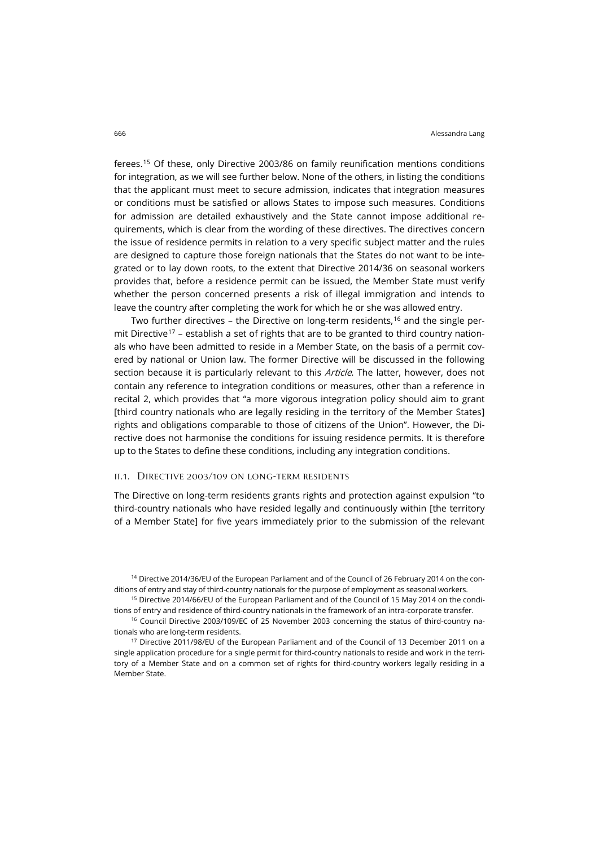ferees.[15](#page-3-0) Of these, only Directive 2003/86 on family reunification mentions conditions for integration, as we will see further below. None of the others, in listing the conditions that the applicant must meet to secure admission, indicates that integration measures or conditions must be satisfied or allows States to impose such measures. Conditions for admission are detailed exhaustively and the State cannot impose additional requirements, which is clear from the wording of these directives. The directives concern the issue of residence permits in relation to a very specific subject matter and the rules are designed to capture those foreign nationals that the States do not want to be integrated or to lay down roots, to the extent that Directive 2014/36 on seasonal workers provides that, before a residence permit can be issued, the Member State must verify whether the person concerned presents a risk of illegal immigration and intends to leave the country after completing the work for which he or she was allowed entry.

Two further directives – the Directive on long-term residents,<sup>[16](#page-3-1)</sup> and the single per-mit Directive<sup>[17](#page-3-2)</sup> – establish a set of rights that are to be granted to third country nationals who have been admitted to reside in a Member State, on the basis of a permit covered by national or Union law. The former Directive will be discussed in the following section because it is particularly relevant to this *Article*. The latter, however, does not contain any reference to integration conditions or measures, other than a reference in recital 2, which provides that "a more vigorous integration policy should aim to grant [third country nationals who are legally residing in the territory of the Member States] rights and obligations comparable to those of citizens of the Union". However, the Directive does not harmonise the conditions for issuing residence permits. It is therefore up to the States to define these conditions, including any integration conditions.

#### ii.1. Directive 2003/109 on long-term residents

The Directive on long-term residents grants rights and protection against expulsion "to third-country nationals who have resided legally and continuously within [the territory of a Member State] for five years immediately prior to the submission of the relevant

<sup>14</sup> Directive 2014/36/EU of the European Parliament and of the Council of 26 February 2014 on the conditions of entry and stay of third-country nationals for the purpose of employment as seasonal workers.

<span id="page-3-0"></span><sup>15</sup> Directive 2014/66/EU of the European Parliament and of the Council of 15 May 2014 on the conditions of entry and residence of third-country nationals in the framework of an intra-corporate transfer.

<span id="page-3-1"></span><sup>16</sup> Council Directive 2003/109/EC of 25 November 2003 concerning the status of third-country nationals who are long-term residents.

<span id="page-3-2"></span><sup>17</sup> Directive 2011/98/EU of the European Parliament and of the Council of 13 December 2011 on a single application procedure for a single permit for third-country nationals to reside and work in the territory of a Member State and on a common set of rights for third-country workers legally residing in a Member State.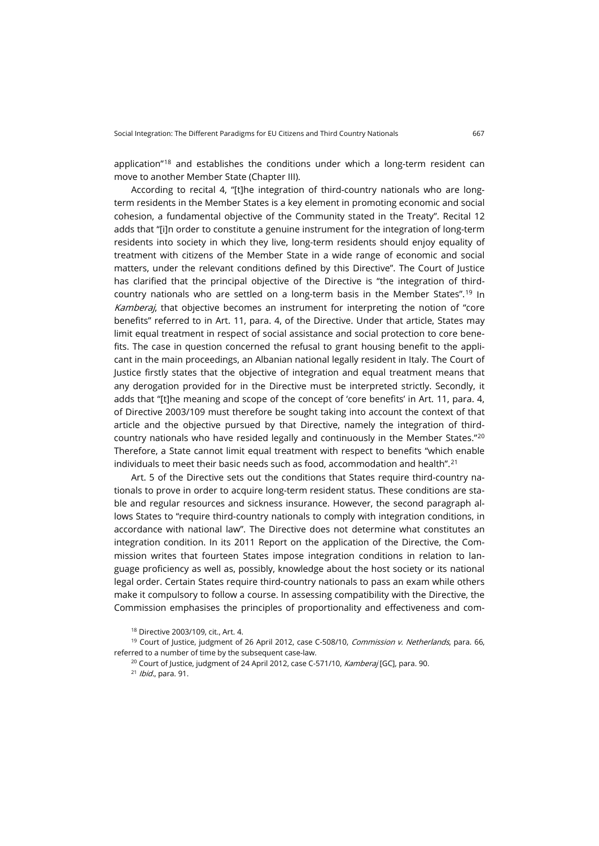application"<sup>[18](#page-4-0)</sup> and establishes the conditions under which a long-term resident can move to another Member State (Chapter III).

According to recital 4, "[t]he integration of third-country nationals who are longterm residents in the Member States is a key element in promoting economic and social cohesion, a fundamental objective of the Community stated in the Treaty". Recital 12 adds that "[i]n order to constitute a genuine instrument for the integration of long-term residents into society in which they live, long-term residents should enjoy equality of treatment with citizens of the Member State in a wide range of economic and social matters, under the relevant conditions defined by this Directive". The Court of Justice has clarified that the principal objective of the Directive is "the integration of thirdcountry nationals who are settled on a long-term basis in the Member States".[19](#page-4-1) In Kamberaj, that objective becomes an instrument for interpreting the notion of "core benefits" referred to in Art. 11, para. 4, of the Directive. Under that article, States may limit equal treatment in respect of social assistance and social protection to core benefits. The case in question concerned the refusal to grant housing benefit to the applicant in the main proceedings, an Albanian national legally resident in Italy. The Court of Justice firstly states that the objective of integration and equal treatment means that any derogation provided for in the Directive must be interpreted strictly. Secondly, it adds that "[t]he meaning and scope of the concept of 'core benefits' in Art. 11, para. 4, of Directive 2003/109 must therefore be sought taking into account the context of that article and the objective pursued by that Directive, namely the integration of thirdcountry nationals who have resided legally and continuously in the Member States."[20](#page-4-2) Therefore, a State cannot limit equal treatment with respect to benefits "which enable individuals to meet their basic needs such as food, accommodation and health".<sup>[21](#page-4-3)</sup>

Art. 5 of the Directive sets out the conditions that States require third-country nationals to prove in order to acquire long-term resident status. These conditions are stable and regular resources and sickness insurance. However, the second paragraph allows States to "require third-country nationals to comply with integration conditions, in accordance with national law". The Directive does not determine what constitutes an integration condition. In its 2011 Report on the application of the Directive, the Commission writes that fourteen States impose integration conditions in relation to language proficiency as well as, possibly, knowledge about the host society or its national legal order. Certain States require third-country nationals to pass an exam while others make it compulsory to follow a course. In assessing compatibility with the Directive, the Commission emphasises the principles of proportionality and effectiveness and com-

<sup>18</sup> Directive 2003/109, cit., Art. 4.

<span id="page-4-3"></span><span id="page-4-2"></span><span id="page-4-1"></span><span id="page-4-0"></span><sup>&</sup>lt;sup>19</sup> Court of Justice, judgment of 26 April 2012, case C-508/10, *Commission v. Netherlands*, para. 66, referred to a number of time by the subsequent case-law.

<sup>&</sup>lt;sup>20</sup> Court of Justice, judgment of 24 April 2012, case C-571/10, *Kamberaj* [GC], para. 90.

 $21$  Ibid., para. 91.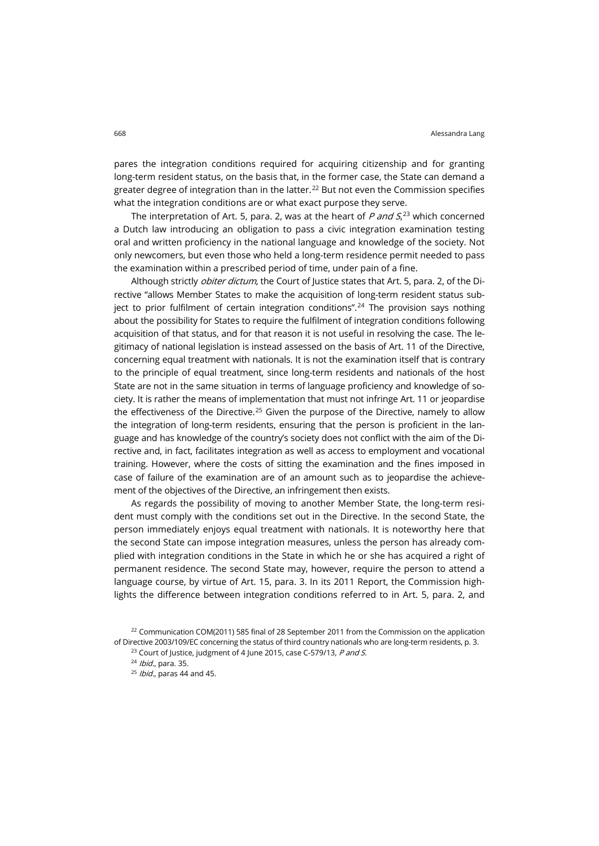pares the integration conditions required for acquiring citizenship and for granting long-term resident status, on the basis that, in the former case, the State can demand a greater degree of integration than in the latter.<sup>[22](#page-5-0)</sup> But not even the Commission specifies what the integration conditions are or what exact purpose they serve.

The interpretation of Art. 5, para. 2, was at the heart of *P and S*,<sup>[23](#page-5-1)</sup> which concerned a Dutch law introducing an obligation to pass a civic integration examination testing oral and written proficiency in the national language and knowledge of the society. Not only newcomers, but even those who held a long-term residence permit needed to pass the examination within a prescribed period of time, under pain of a fine.

Although strictly *obiter dictum*, the Court of Justice states that Art. 5, para. 2, of the Directive "allows Member States to make the acquisition of long-term resident status sub-ject to prior fulfilment of certain integration conditions".<sup>[24](#page-5-2)</sup> The provision says nothing about the possibility for States to require the fulfilment of integration conditions following acquisition of that status, and for that reason it is not useful in resolving the case. The legitimacy of national legislation is instead assessed on the basis of Art. 11 of the Directive, concerning equal treatment with nationals. It is not the examination itself that is contrary to the principle of equal treatment, since long-term residents and nationals of the host State are not in the same situation in terms of language proficiency and knowledge of society. It is rather the means of implementation that must not infringe Art. 11 or jeopardise the effectiveness of the Directive.<sup>[25](#page-5-3)</sup> Given the purpose of the Directive, namely to allow the integration of long-term residents, ensuring that the person is proficient in the language and has knowledge of the country's society does not conflict with the aim of the Directive and, in fact, facilitates integration as well as access to employment and vocational training. However, where the costs of sitting the examination and the fines imposed in case of failure of the examination are of an amount such as to jeopardise the achievement of the objectives of the Directive, an infringement then exists.

As regards the possibility of moving to another Member State, the long-term resident must comply with the conditions set out in the Directive. In the second State, the person immediately enjoys equal treatment with nationals. It is noteworthy here that the second State can impose integration measures, unless the person has already complied with integration conditions in the State in which he or she has acquired a right of permanent residence. The second State may, however, require the person to attend a language course, by virtue of Art. 15, para. 3. In its 2011 Report, the Commission highlights the difference between integration conditions referred to in Art. 5, para. 2, and

<span id="page-5-3"></span><span id="page-5-2"></span><span id="page-5-1"></span><span id="page-5-0"></span><sup>&</sup>lt;sup>22</sup> Communication COM(2011) 585 final of 28 September 2011 from the Commission on the application of Directive 2003/109/EC concerning the status of third country nationals who are long-term residents, p. 3.

<sup>&</sup>lt;sup>23</sup> Court of Justice, judgment of 4 June 2015, case C-579/13, P and S.

<sup>24</sup> *Ibid.*, para. 35.

 $25$  *Ibid.*, paras 44 and 45.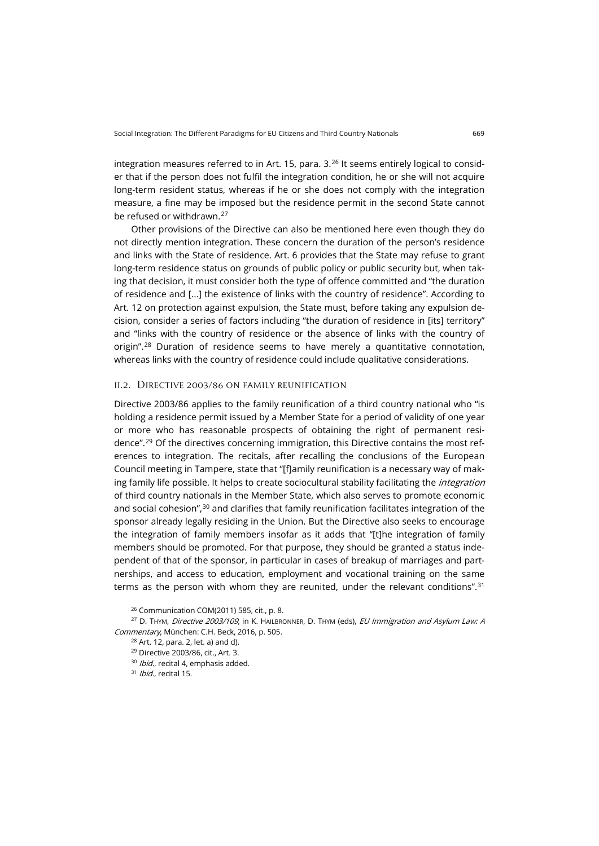integration measures referred to in Art. 15, para.  $3^{26}$  $3^{26}$  $3^{26}$  It seems entirely logical to consider that if the person does not fulfil the integration condition, he or she will not acquire long-term resident status, whereas if he or she does not comply with the integration measure, a fine may be imposed but the residence permit in the second State cannot be refused or withdrawn.<sup>[27](#page-6-1)</sup>

Other provisions of the Directive can also be mentioned here even though they do not directly mention integration. These concern the duration of the person's residence and links with the State of residence. Art. 6 provides that the State may refuse to grant long-term residence status on grounds of public policy or public security but, when taking that decision, it must consider both the type of offence committed and "the duration of residence and [...] the existence of links with the country of residence". According to Art. 12 on protection against expulsion, the State must, before taking any expulsion decision, consider a series of factors including "the duration of residence in [its] territory" and "links with the country of residence or the absence of links with the country of origin".[28](#page-6-2) Duration of residence seems to have merely a quantitative connotation, whereas links with the country of residence could include qualitative considerations.

#### ii.2. Directive 2003/86 on family reunification

Directive 2003/86 applies to the family reunification of a third country national who "is holding a residence permit issued by a Member State for a period of validity of one year or more who has reasonable prospects of obtaining the right of permanent residence".[29](#page-6-3) Of the directives concerning immigration, this Directive contains the most references to integration. The recitals, after recalling the conclusions of the European Council meeting in Tampere, state that "[f]amily reunification is a necessary way of making family life possible. It helps to create sociocultural stability facilitating the *integration* of third country nationals in the Member State, which also serves to promote economic and social cohesion", $^{\rm 30}$  $^{\rm 30}$  $^{\rm 30}$  and clarifies that family reunification facilitates integration of the sponsor already legally residing in the Union. But the Directive also seeks to encourage the integration of family members insofar as it adds that "[t]he integration of family members should be promoted. For that purpose, they should be granted a status independent of that of the sponsor, in particular in cases of breakup of marriages and partnerships, and access to education, employment and vocational training on the same terms as the person with whom they are reunited, under the relevant conditions".<sup>[31](#page-6-5)</sup>

<sup>26</sup> Communication COM(2011) 585, cit., p. 8.

<span id="page-6-5"></span><span id="page-6-4"></span><span id="page-6-3"></span><span id="page-6-2"></span><span id="page-6-1"></span><span id="page-6-0"></span><sup>27</sup> D. THYM, Directive 2003/109, in K. HAILBRONNER, D. THYM (eds), EU Immigration and Asylum Law: A Commentary, München: C.H. Beck, 2016, p. 505.

 $28$  Art. 12, para. 2, let. a) and d).

<sup>29</sup> Directive 2003/86, cit., Art. 3.

<sup>&</sup>lt;sup>30</sup> *Ibid.*, recital 4, emphasis added.

<sup>&</sup>lt;sup>31</sup> Ibid., recital 15.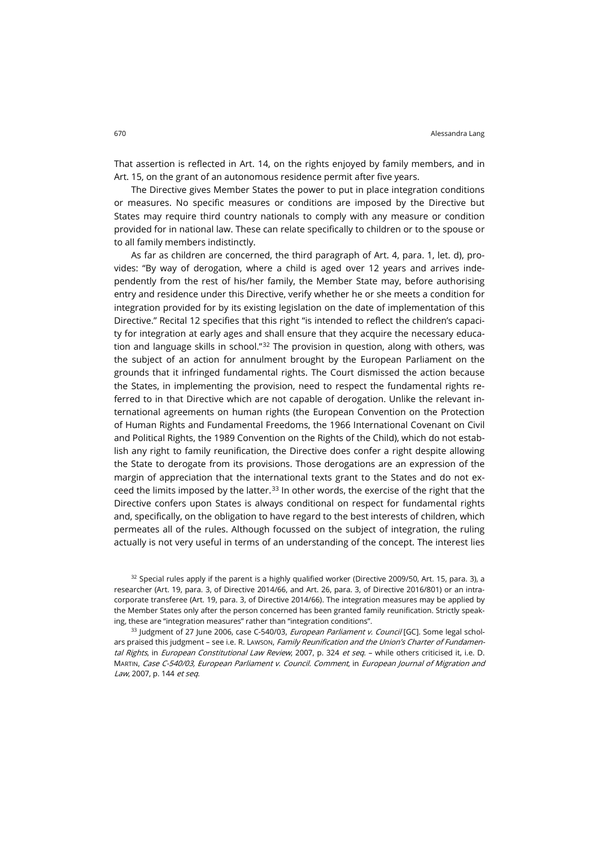That assertion is reflected in Art. 14, on the rights enjoyed by family members, and in Art. 15, on the grant of an autonomous residence permit after five years.

The Directive gives Member States the power to put in place integration conditions or measures. No specific measures or conditions are imposed by the Directive but States may require third country nationals to comply with any measure or condition provided for in national law. These can relate specifically to children or to the spouse or to all family members indistinctly.

As far as children are concerned, the third paragraph of Art. 4, para. 1, let. d), provides: "By way of derogation, where a child is aged over 12 years and arrives independently from the rest of his/her family, the Member State may, before authorising entry and residence under this Directive, verify whether he or she meets a condition for integration provided for by its existing legislation on the date of implementation of this Directive." Recital 12 specifies that this right "is intended to reflect the children's capacity for integration at early ages and shall ensure that they acquire the necessary education and language skills in school." $32$  The provision in question, along with others, was the subject of an action for annulment brought by the European Parliament on the grounds that it infringed fundamental rights. The Court dismissed the action because the States, in implementing the provision, need to respect the fundamental rights referred to in that Directive which are not capable of derogation. Unlike the relevant international agreements on human rights (the European Convention on the Protection of Human Rights and Fundamental Freedoms, the 1966 International Covenant on Civil and Political Rights, the 1989 Convention on the Rights of the Child), which do not establish any right to family reunification, the Directive does confer a right despite allowing the State to derogate from its provisions. Those derogations are an expression of the margin of appreciation that the international texts grant to the States and do not exceed the limits imposed by the latter. $33$  In other words, the exercise of the right that the Directive confers upon States is always conditional on respect for fundamental rights and, specifically, on the obligation to have regard to the best interests of children, which permeates all of the rules. Although focussed on the subject of integration, the ruling actually is not very useful in terms of an understanding of the concept. The interest lies

<span id="page-7-0"></span> $32$  Special rules apply if the parent is a highly qualified worker (Directive 2009/50, Art. 15, para. 3), a researcher (Art. 19, para. 3, of Directive 2014/66, and Art. 26, para. 3, of Directive 2016/801) or an intracorporate transferee (Art. 19, para. 3, of Directive 2014/66). The integration measures may be applied by the Member States only after the person concerned has been granted family reunification. Strictly speaking, these are "integration measures" rather than "integration conditions".

<span id="page-7-1"></span><sup>33</sup> Judgment of 27 June 2006, case C-540/03, *European Parliament v. Council* [GC]. Some legal scholars praised this judgment - see i.e. R. Lawson, Family Reunification and the Union's Charter of Fundamental Rights, in European Constitutional Law Review, 2007, p. 324 et seq. - while others criticised it, i.e. D. MARTIN, Case C-540/03, European Parliament v. Council. Comment, in European Journal of Migration and Law, 2007, p. 144 et seq.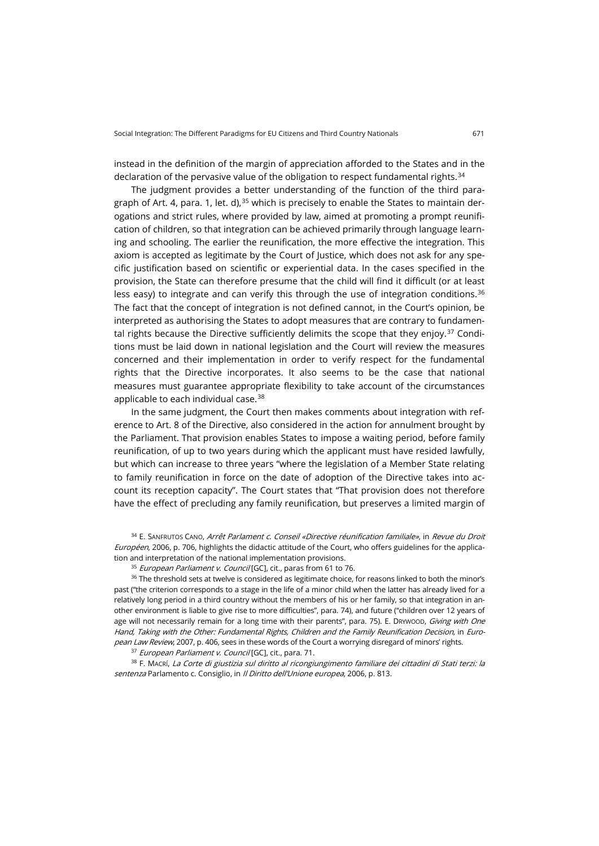instead in the definition of the margin of appreciation afforded to the States and in the declaration of the pervasive value of the obligation to respect fundamental rights.<sup>[34](#page-8-0)</sup>

The judgment provides a better understanding of the function of the third paragraph of Art. 4, para. 1, let. d),  $35$  which is precisely to enable the States to maintain derogations and strict rules, where provided by law, aimed at promoting a prompt reunification of children, so that integration can be achieved primarily through language learning and schooling. The earlier the reunification, the more effective the integration. This axiom is accepted as legitimate by the Court of Justice, which does not ask for any specific justification based on scientific or experiential data. In the cases specified in the provision, the State can therefore presume that the child will find it difficult (or at least less easy) to integrate and can verify this through the use of integration conditions.<sup>[36](#page-8-2)</sup> The fact that the concept of integration is not defined cannot, in the Court's opinion, be interpreted as authorising the States to adopt measures that are contrary to fundamen-tal rights because the Directive sufficiently delimits the scope that they enjoy.<sup>[37](#page-8-3)</sup> Conditions must be laid down in national legislation and the Court will review the measures concerned and their implementation in order to verify respect for the fundamental rights that the Directive incorporates. It also seems to be the case that national measures must guarantee appropriate flexibility to take account of the circumstances applicable to each individual case.<sup>[38](#page-8-4)</sup>

In the same judgment, the Court then makes comments about integration with reference to Art. 8 of the Directive, also considered in the action for annulment brought by the Parliament. That provision enables States to impose a waiting period, before family reunification, of up to two years during which the applicant must have resided lawfully, but which can increase to three years "where the legislation of a Member State relating to family reunification in force on the date of adoption of the Directive takes into account its reception capacity". The Court states that "That provision does not therefore have the effect of precluding any family reunification, but preserves a limited margin of

<span id="page-8-0"></span>34 E. SANFRUTOS CANO, Arrêt Parlament c. Conseil «Directive réunification familiale», in Revue du Droit Européen, 2006, p. 706, highlights the didactic attitude of the Court, who offers guidelines for the application and interpretation of the national implementation provisions.

<span id="page-8-2"></span><span id="page-8-1"></span><sup>36</sup> The threshold sets at twelve is considered as legitimate choice, for reasons linked to both the minor's past ("the criterion corresponds to a stage in the life of a minor child when the latter has already lived for a relatively long period in a third country without the members of his or her family, so that integration in another environment is liable to give rise to more difficulties", para. 74), and future ("children over 12 years of age will not necessarily remain for a long time with their parents", para. 75). E. DRYWOOD, Giving with One Hand, Taking with the Other: Fundamental Rights, Children and the Family Reunification Decision, in European Law Review, 2007, p. 406, sees in these words of the Court a worrying disregard of minors' rights.

<sup>37</sup> European Parliament v. Council [GC], cit., para. 71.

<span id="page-8-4"></span><span id="page-8-3"></span>38 F. MACRÍ, La Corte di giustizia sul diritto al ricongiungimento familiare dei cittadini di Stati terzi: la sentenza Parlamento c. Consiglio, in Il Diritto dell'Unione europea, 2006, p. 813.

<sup>&</sup>lt;sup>35</sup> European Parliament v. Council [GC], cit., paras from 61 to 76.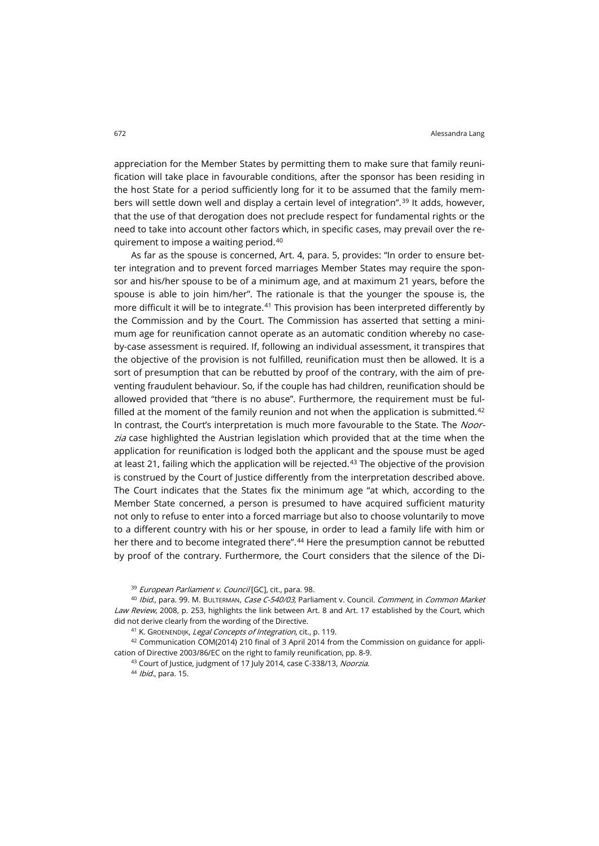appreciation for the Member States by permitting them to make sure that family reunification will take place in favourable conditions, after the sponsor has been residing in the host State for a period sufficiently long for it to be assumed that the family mem-bers will settle down well and display a certain level of integration".<sup>[39](#page-9-0)</sup> It adds, however, that the use of that derogation does not preclude respect for fundamental rights or the need to take into account other factors which, in specific cases, may prevail over the requirement to impose a waiting period.[40](#page-9-1)

As far as the spouse is concerned, Art. 4, para. 5, provides: "In order to ensure better integration and to prevent forced marriages Member States may require the sponsor and his/her spouse to be of a minimum age, and at maximum 21 years, before the spouse is able to join him/her". The rationale is that the younger the spouse is, the more difficult it will be to integrate.<sup>[41](#page-9-2)</sup> This provision has been interpreted differently by the Commission and by the Court. The Commission has asserted that setting a minimum age for reunification cannot operate as an automatic condition whereby no caseby-case assessment is required. If, following an individual assessment, it transpires that the objective of the provision is not fulfilled, reunification must then be allowed. It is a sort of presumption that can be rebutted by proof of the contrary, with the aim of preventing fraudulent behaviour. So, if the couple has had children, reunification should be allowed provided that "there is no abuse". Furthermore, the requirement must be fulfilled at the moment of the family reunion and not when the application is submitted. $42$ In contrast, the Court's interpretation is much more favourable to the State. The Noorzia case highlighted the Austrian legislation which provided that at the time when the application for reunification is lodged both the applicant and the spouse must be aged at least 21, failing which the application will be rejected.<sup>[43](#page-9-4)</sup> The objective of the provision is construed by the Court of Justice differently from the interpretation described above. The Court indicates that the States fix the minimum age "at which, according to the Member State concerned, a person is presumed to have acquired sufficient maturity not only to refuse to enter into a forced marriage but also to choose voluntarily to move to a different country with his or her spouse, in order to lead a family life with him or her there and to become integrated there".<sup>[44](#page-9-5)</sup> Here the presumption cannot be rebutted by proof of the contrary. Furthermore, the Court considers that the silence of the Di-

<sup>39</sup> European Parliament v. Council [GC], cit., para. 98.

<span id="page-9-1"></span><span id="page-9-0"></span>40 Ibid., para. 99. M. BULTERMAN, Case C-540/03, Parliament v. Council. Comment, in Common Market Law Review, 2008, p. 253, highlights the link between Art. 8 and Art. 17 established by the Court, which did not derive clearly from the wording of the Directive.

41 K. GROENENDIJK, Legal Concepts of Integration, cit., p. 119.

<span id="page-9-5"></span><span id="page-9-4"></span><span id="page-9-3"></span><span id="page-9-2"></span><sup>42</sup> Communication COM(2014) 210 final of 3 April 2014 from the Commission on guidance for application of Directive 2003/86/EC on the right to family reunification, pp. 8-9.

43 Court of Justice, judgment of 17 July 2014, case C-338/13, Noorzia.

44 *Ibid.*, para. 15.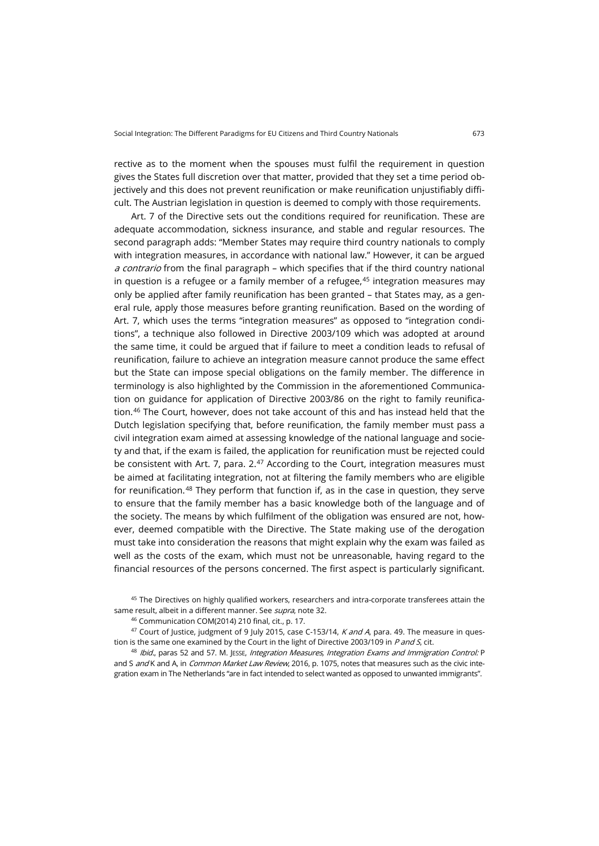rective as to the moment when the spouses must fulfil the requirement in question gives the States full discretion over that matter, provided that they set a time period objectively and this does not prevent reunification or make reunification unjustifiably difficult. The Austrian legislation in question is deemed to comply with those requirements.

Art. 7 of the Directive sets out the conditions required for reunification. These are adequate accommodation, sickness insurance, and stable and regular resources. The second paragraph adds: "Member States may require third country nationals to comply with integration measures, in accordance with national law." However, it can be argued a contrario from the final paragraph – which specifies that if the third country national in question is a refugee or a family member of a refugee, $45$  integration measures may only be applied after family reunification has been granted – that States may, as a general rule, apply those measures before granting reunification. Based on the wording of Art. 7, which uses the terms "integration measures" as opposed to "integration conditions", a technique also followed in Directive 2003/109 which was adopted at around the same time, it could be argued that if failure to meet a condition leads to refusal of reunification, failure to achieve an integration measure cannot produce the same effect but the State can impose special obligations on the family member. The difference in terminology is also highlighted by the Commission in the aforementioned Communication on guidance for application of Directive 2003/86 on the right to family reunifica-tion.<sup>[46](#page-10-1)</sup> The Court, however, does not take account of this and has instead held that the Dutch legislation specifying that, before reunification, the family member must pass a civil integration exam aimed at assessing knowledge of the national language and society and that, if the exam is failed, the application for reunification must be rejected could be consistent with Art. 7, para.  $2.47$  $2.47$  According to the Court, integration measures must be aimed at facilitating integration, not at filtering the family members who are eligible for reunification.<sup>[48](#page-10-3)</sup> They perform that function if, as in the case in question, they serve to ensure that the family member has a basic knowledge both of the language and of the society. The means by which fulfilment of the obligation was ensured are not, however, deemed compatible with the Directive. The State making use of the derogation must take into consideration the reasons that might explain why the exam was failed as well as the costs of the exam, which must not be unreasonable, having regard to the financial resources of the persons concerned. The first aspect is particularly significant.

<span id="page-10-0"></span><sup>45</sup> The Directives on highly qualified workers, researchers and intra-corporate transferees attain the same result, albeit in a different manner. See supra, note 32.

<sup>46</sup> Communication COM(2014) 210 final, cit., p. 17.

<span id="page-10-2"></span><span id="page-10-1"></span><sup>47</sup> Court of Justice, judgment of 9 July 2015, case C-153/14, *K and A*, para. 49. The measure in question is the same one examined by the Court in the light of Directive 2003/109 in  $P$  and  $S$ , cit.

<span id="page-10-3"></span>48 Ibid., paras 52 and 57. M. JESSE, Integration Measures, Integration Exams and Immigration Control: P and S and K and A, in Common Market Law Review, 2016, p. 1075, notes that measures such as the civic integration exam in The Netherlands "are in fact intended to select wanted as opposed to unwanted immigrants".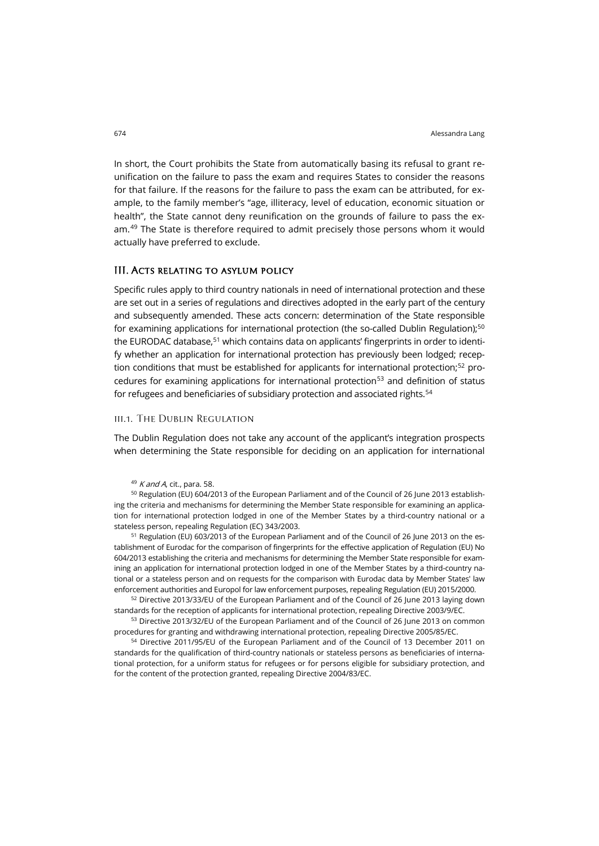In short, the Court prohibits the State from automatically basing its refusal to grant reunification on the failure to pass the exam and requires States to consider the reasons for that failure. If the reasons for the failure to pass the exam can be attributed, for example, to the family member's "age, illiteracy, level of education, economic situation or health", the State cannot deny reunification on the grounds of failure to pass the exam.[49](#page-11-0) The State is therefore required to admit precisely those persons whom it would actually have preferred to exclude.

## III. Acts relating to asylum policy

Specific rules apply to third country nationals in need of international protection and these are set out in a series of regulations and directives adopted in the early part of the century and subsequently amended. These acts concern: determination of the State responsible for examining applications for international protection (the so-called Dublin Regulation);<sup>50</sup> the EURODAC database,<sup>51</sup> which contains data on applicants' fingerprints in order to identify whether an application for international protection has previously been lodged; reception conditions that must be established for applicants for international protection; [52](#page-11-3) pro-cedures for examining applications for international protection<sup>[53](#page-11-4)</sup> and definition of status for refugees and beneficiaries of subsidiary protection and associated rights.<sup>54</sup>

## iii.1. The Dublin Regulation

The Dublin Regulation does not take any account of the applicant's integration prospects when determining the State responsible for deciding on an application for international

 $49$  K and A, cit., para. 58.

<span id="page-11-1"></span><span id="page-11-0"></span><sup>50</sup> Regulation (EU) 604/2013 of the European Parliament and of the Council of 26 June 2013 establishing the criteria and mechanisms for determining the Member State responsible for examining an application for international protection lodged in one of the Member States by a third-country national or a stateless person, repealing Regulation (EC) 343/2003.

<span id="page-11-2"></span>51 Regulation (EU) 603/2013 of the European Parliament and of the Council of 26 June 2013 on the establishment of Eurodac for the comparison of fingerprints for the effective application of Regulation (EU) No 604/2013 establishing the criteria and mechanisms for determining the Member State responsible for examining an application for international protection lodged in one of the Member States by a third-country national or a stateless person and on requests for the comparison with Eurodac data by Member States' law enforcement authorities and Europol for law enforcement purposes, repealing Regulation (EU) 2015/2000.

<span id="page-11-3"></span> $52$  Directive 2013/33/EU of the European Parliament and of the Council of 26 June 2013 laying down standards for the reception of applicants for international protection, repealing Directive 2003/9/EC.

<span id="page-11-4"></span>53 Directive 2013/32/EU of the European Parliament and of the Council of 26 June 2013 on common procedures for granting and withdrawing international protection, repealing Directive 2005/85/EC.

<span id="page-11-5"></span><sup>54</sup> Directive 2011/95/EU of the European Parliament and of the Council of 13 December 2011 on standards for the qualification of third-country nationals or stateless persons as beneficiaries of international protection, for a uniform status for refugees or for persons eligible for subsidiary protection, and for the content of the protection granted, repealing Directive 2004/83/EC.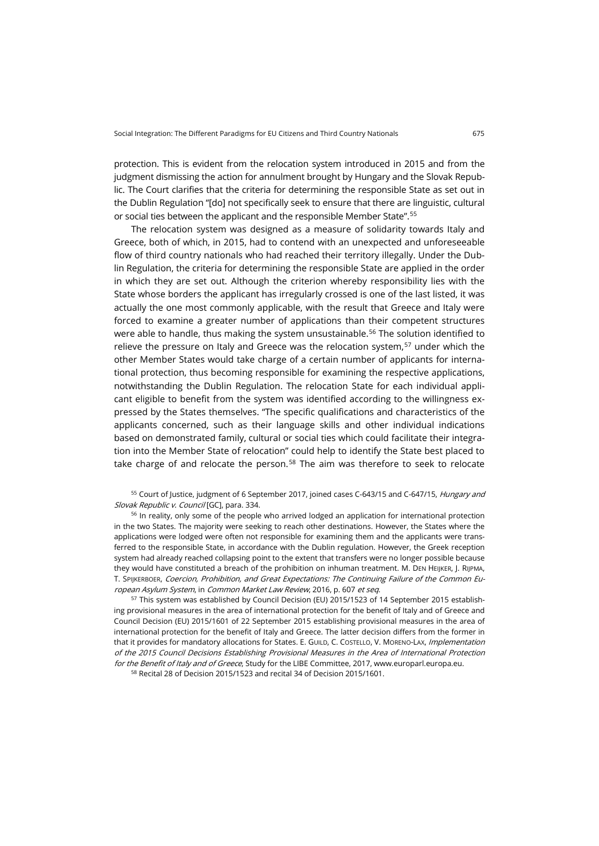protection. This is evident from the relocation system introduced in 2015 and from the judgment dismissing the action for annulment brought by Hungary and the Slovak Republic. The Court clarifies that the criteria for determining the responsible State as set out in the Dublin Regulation "[do] not specifically seek to ensure that there are linguistic, cultural or social ties between the applicant and the responsible Member State".[55](#page-12-0)

The relocation system was designed as a measure of solidarity towards Italy and Greece, both of which, in 2015, had to contend with an unexpected and unforeseeable flow of third country nationals who had reached their territory illegally. Under the Dublin Regulation, the criteria for determining the responsible State are applied in the order in which they are set out. Although the criterion whereby responsibility lies with the State whose borders the applicant has irregularly crossed is one of the last listed, it was actually the one most commonly applicable, with the result that Greece and Italy were forced to examine a greater number of applications than their competent structures were able to handle, thus making the system unsustainable.<sup>[56](#page-12-1)</sup> The solution identified to relieve the pressure on Italy and Greece was the relocation system, $57$  under which the other Member States would take charge of a certain number of applicants for international protection, thus becoming responsible for examining the respective applications, notwithstanding the Dublin Regulation. The relocation State for each individual applicant eligible to benefit from the system was identified according to the willingness expressed by the States themselves. "The specific qualifications and characteristics of the applicants concerned, such as their language skills and other individual indications based on demonstrated family, cultural or social ties which could facilitate their integration into the Member State of relocation" could help to identify the State best placed to take charge of and relocate the person. $58$  The aim was therefore to seek to relocate

<span id="page-12-0"></span><sup>55</sup> Court of Justice, judgment of 6 September 2017, joined cases C-643/15 and C-647/15, *Hungary and* Slovak Republic v. Council [GC], para. 334.

<span id="page-12-1"></span><sup>56</sup> In reality, only some of the people who arrived lodged an application for international protection in the two States. The majority were seeking to reach other destinations. However, the States where the applications were lodged were often not responsible for examining them and the applicants were transferred to the responsible State, in accordance with the Dublin regulation. However, the Greek reception system had already reached collapsing point to the extent that transfers were no longer possible because they would have constituted a breach of the prohibition on inhuman treatment. M. DEN HEIJKER, J. RIJPMA, T. SPIJKERBOER, Coercion, Prohibition, and Great Expectations: The Continuing Failure of the Common European Asylum System, in Common Market Law Review, 2016, p. 607 et seq.

<span id="page-12-2"></span><sup>57</sup> This system was established by Council Decision (EU) 2015/1523 of 14 September 2015 establishing provisional measures in the area of international protection for the benefit of Italy and of Greece and Council Decision (EU) 2015/1601 of 22 September 2015 establishing provisional measures in the area of international protection for the benefit of Italy and Greece. The latter decision differs from the former in that it provides for mandatory allocations for States. E. GUILD, C. COSTELLO, V. MORENO-LAX, Implementation of the 2015 Council Decisions Establishing Provisional Measures in the Area of International Protection for the Benefit of Italy and of Greece, Study for the LIBE Committee, 2017[, www.europarl.europa.eu.](http://www.europarl.europa.eu/thinktank/en/document.html?reference=IPOL_STU(2017)583132)

<span id="page-12-3"></span><sup>58</sup> Recital 28 of Decision 2015/1523 and recital 34 of Decision 2015/1601.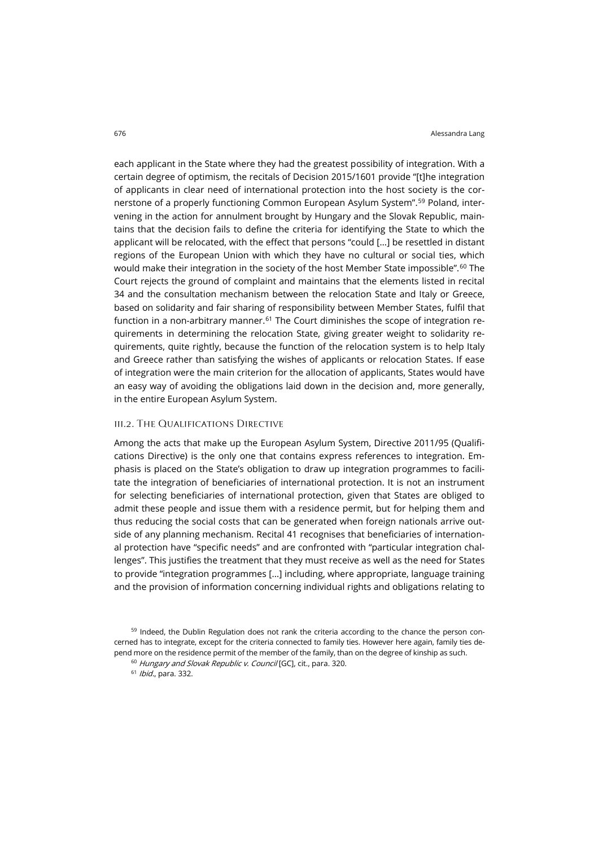each applicant in the State where they had the greatest possibility of integration. With a certain degree of optimism, the recitals of Decision 2015/1601 provide "[t]he integration of applicants in clear need of international protection into the host society is the cornerstone of a properly functioning Common European Asylum System".[59](#page-13-0) Poland, intervening in the action for annulment brought by Hungary and the Slovak Republic, maintains that the decision fails to define the criteria for identifying the State to which the applicant will be relocated, with the effect that persons "could […] be resettled in distant regions of the European Union with which they have no cultural or social ties, which would make their integration in the society of the host Member State impossible".<sup>[60](#page-13-1)</sup> The Court rejects the ground of complaint and maintains that the elements listed in recital 34 and the consultation mechanism between the relocation State and Italy or Greece, based on solidarity and fair sharing of responsibility between Member States, fulfil that function in a non-arbitrary manner.<sup>[61](#page-13-2)</sup> The Court diminishes the scope of integration requirements in determining the relocation State, giving greater weight to solidarity requirements, quite rightly, because the function of the relocation system is to help Italy and Greece rather than satisfying the wishes of applicants or relocation States. If ease of integration were the main criterion for the allocation of applicants, States would have an easy way of avoiding the obligations laid down in the decision and, more generally, in the entire European Asylum System.

## iii.2. The Qualifications Directive

Among the acts that make up the European Asylum System, Directive 2011/95 (Qualifications Directive) is the only one that contains express references to integration. Emphasis is placed on the State's obligation to draw up integration programmes to facilitate the integration of beneficiaries of international protection. It is not an instrument for selecting beneficiaries of international protection, given that States are obliged to admit these people and issue them with a residence permit, but for helping them and thus reducing the social costs that can be generated when foreign nationals arrive outside of any planning mechanism. Recital 41 recognises that beneficiaries of international protection have "specific needs" and are confronted with "particular integration challenges". This justifies the treatment that they must receive as well as the need for States to provide "integration programmes [...] including, where appropriate, language training and the provision of information concerning individual rights and obligations relating to

<span id="page-13-2"></span><span id="page-13-1"></span><span id="page-13-0"></span><sup>&</sup>lt;sup>59</sup> Indeed, the Dublin Regulation does not rank the criteria according to the chance the person concerned has to integrate, except for the criteria connected to family ties. However here again, family ties depend more on the residence permit of the member of the family, than on the degree of kinship as such.

<sup>&</sup>lt;sup>60</sup> Hungary and Slovak Republic v. Council [GC], cit., para. 320.

<sup>61</sup> Ibid., para. 332.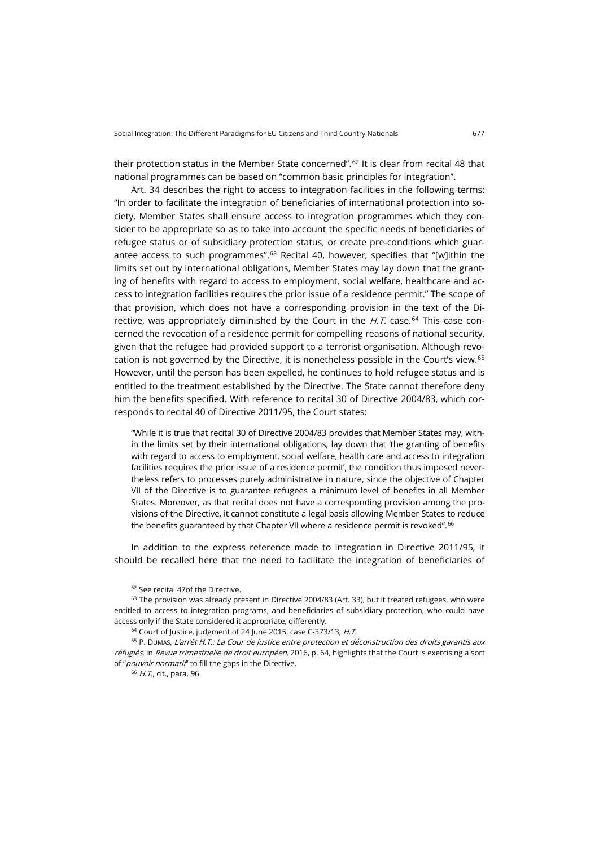their protection status in the Member State concerned".<sup>[62](#page-14-0)</sup> It is clear from recital 48 that national programmes can be based on "common basic principles for integration".

Art. 34 describes the right to access to integration facilities in the following terms: "In order to facilitate the integration of beneficiaries of international protection into society, Member States shall ensure access to integration programmes which they consider to be appropriate so as to take into account the specific needs of beneficiaries of refugee status or of subsidiary protection status, or create pre-conditions which guarantee access to such programmes". $63$  Recital 40, however, specifies that "[w]ithin the limits set out by international obligations, Member States may lay down that the granting of benefits with regard to access to employment, social welfare, healthcare and access to integration facilities requires the prior issue of a residence permit." The scope of that provision, which does not have a corresponding provision in the text of the Directive, was appropriately diminished by the Court in the  $\emph{H.T.}$  case. $^{64}$  $^{64}$  $^{64}$  This case concerned the revocation of a residence permit for compelling reasons of national security, given that the refugee had provided support to a terrorist organisation. Although revo-cation is not governed by the Directive, it is nonetheless possible in the Court's view.<sup>[65](#page-14-3)</sup> However, until the person has been expelled, he continues to hold refugee status and is entitled to the treatment established by the Directive. The State cannot therefore deny him the benefits specified. With reference to recital 30 of Directive 2004/83, which corresponds to recital 40 of Directive 2011/95, the Court states:

"While it is true that recital 30 of Directive 2004/83 provides that Member States may, within the limits set by their international obligations, lay down that 'the granting of benefits with regard to access to employment, social welfare, health care and access to integration facilities requires the prior issue of a residence permit', the condition thus imposed nevertheless refers to processes purely administrative in nature, since the objective of Chapter VII of the Directive is to guarantee refugees a minimum level of benefits in all Member States. Moreover, as that recital does not have a corresponding provision among the provisions of the Directive, it cannot constitute a legal basis allowing Member States to reduce the benefits guaranteed by that Chapter VII where a residence permit is revoked".  $66$ 

In addition to the express reference made to integration in Directive 2011/95, it should be recalled here that the need to facilitate the integration of beneficiaries of

<sup>62</sup> See recital 47of the Directive.

<span id="page-14-1"></span><span id="page-14-0"></span> $63$  The provision was already present in Directive 2004/83 (Art. 33), but it treated refugees, who were entitled to access to integration programs, and beneficiaries of subsidiary protection, who could have access only if the State considered it appropriate, differently.

<sup>64</sup> Court of Justice, judgment of 24 June 2015, case C-373/13, H.T.

<span id="page-14-4"></span><span id="page-14-3"></span><span id="page-14-2"></span><sup>65</sup> P. DUMAS, L'arrêt H.T.: La Cour de justice entre protection et déconstruction des droits garantis aux réfugiès, in Revue trimestrielle de droit européen, 2016, p. 64, highlights that the Court is exercising a sort of "*pouvoir normatif*" to fill the gaps in the Directive.

<sup>66</sup> H.T., cit., para. 96.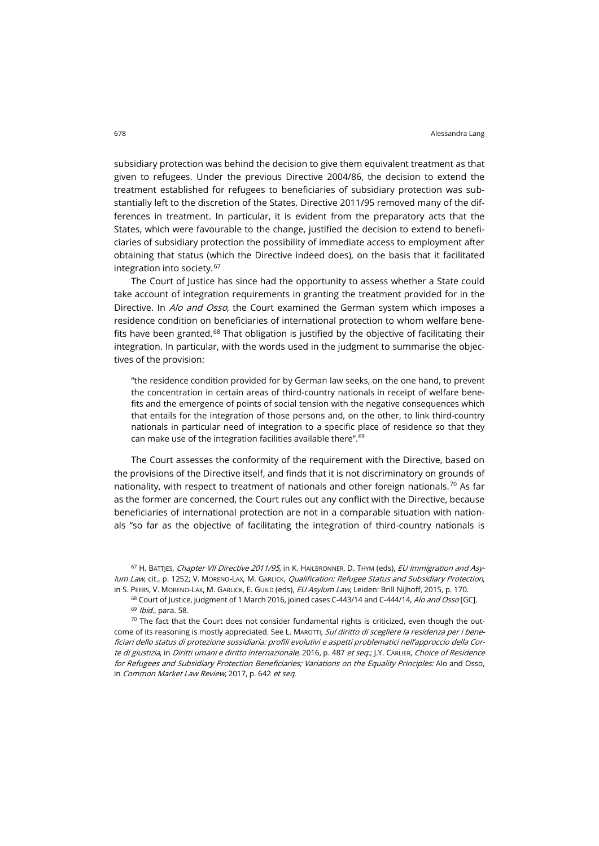subsidiary protection was behind the decision to give them equivalent treatment as that given to refugees. Under the previous Directive 2004/86, the decision to extend the treatment established for refugees to beneficiaries of subsidiary protection was substantially left to the discretion of the States. Directive 2011/95 removed many of the differences in treatment. In particular, it is evident from the preparatory acts that the States, which were favourable to the change, justified the decision to extend to beneficiaries of subsidiary protection the possibility of immediate access to employment after obtaining that status (which the Directive indeed does), on the basis that it facilitated integration into society.[67](#page-15-0)

The Court of Justice has since had the opportunity to assess whether a State could take account of integration requirements in granting the treatment provided for in the Directive. In Alo and Osso, the Court examined the German system which imposes a residence condition on beneficiaries of international protection to whom welfare bene-fits have been granted.<sup>[68](#page-15-1)</sup> That obligation is justified by the objective of facilitating their integration. In particular, with the words used in the judgment to summarise the objectives of the provision:

"the residence condition provided for by German law seeks, on the one hand, to prevent the concentration in certain areas of third-country nationals in receipt of welfare benefits and the emergence of points of social tension with the negative consequences which that entails for the integration of those persons and, on the other, to link third-country nationals in particular need of integration to a specific place of residence so that they can make use of the integration facilities available there".<sup>[69](#page-15-2)</sup>

The Court assesses the conformity of the requirement with the Directive, based on the provisions of the Directive itself, and finds that it is not discriminatory on grounds of nationality, with respect to treatment of nationals and other foreign nationals.<sup>[70](#page-15-3)</sup> As far as the former are concerned, the Court rules out any conflict with the Directive, because beneficiaries of international protection are not in a comparable situation with nationals "so far as the objective of facilitating the integration of third-country nationals is

<span id="page-15-0"></span>67 H. BATTJES, Chapter VII Directive 2011/95, in K. HAILBRONNER, D. THYM (eds), EU Immigration and Asylum Law, cit., p. 1252; V. MORENO-LAX, M. GARLICK, Qualification: Refugee Status and Subsidiary Protection, in S. PEERS, V. MORENO-LAX, M. GARLICK, E. GUILD (eds), EU Asylum Law, Leiden: Brill Nijhoff, 2015, p. 170.

<sup>68</sup> Court of Justice, judgment of 1 March 2016, joined cases C-443/14 and C-444/14, Alo and Osso [GC]. 69 *Ibid.*, para. 58.

<span id="page-15-3"></span><span id="page-15-2"></span><span id="page-15-1"></span> $70$  The fact that the Court does not consider fundamental rights is criticized, even though the outcome of its reasoning is mostly appreciated. See L. MAROTTI, Sul diritto di scegliere la residenza per i beneficiari dello status di protezione sussidiaria: profili evolutivi e aspetti problematici nell'approccio della Corte di giustizia, in Diritti umani e diritto internazionale, 2016, p. 487 et seq.; J.Y. CARLIER, Choice of Residence for Refugees and Subsidiary Protection Beneficiaries; Variations on the Equality Principles: Alo and Osso, in Common Market Law Review, 2017, p. 642 et seq.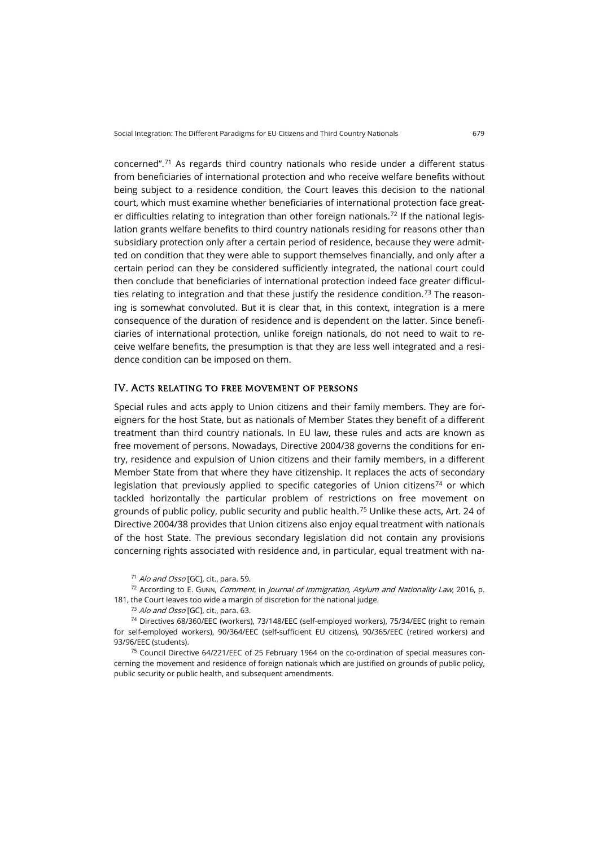concerned".[71](#page-16-0) As regards third country nationals who reside under a different status from beneficiaries of international protection and who receive welfare benefits without being subject to a residence condition, the Court leaves this decision to the national court, which must examine whether beneficiaries of international protection face great-er difficulties relating to integration than other foreign nationals.<sup>[72](#page-16-1)</sup> If the national legislation grants welfare benefits to third country nationals residing for reasons other than subsidiary protection only after a certain period of residence, because they were admitted on condition that they were able to support themselves financially, and only after a certain period can they be considered sufficiently integrated, the national court could then conclude that beneficiaries of international protection indeed face greater difficul-ties relating to integration and that these justify the residence condition.<sup>[73](#page-16-2)</sup> The reasoning is somewhat convoluted. But it is clear that, in this context, integration is a mere consequence of the duration of residence and is dependent on the latter. Since beneficiaries of international protection, unlike foreign nationals, do not need to wait to receive welfare benefits, the presumption is that they are less well integrated and a residence condition can be imposed on them.

#### IV. Acts relating to free movement of persons

Special rules and acts apply to Union citizens and their family members. They are foreigners for the host State, but as nationals of Member States they benefit of a different treatment than third country nationals. In EU law, these rules and acts are known as free movement of persons. Nowadays, Directive 2004/38 governs the conditions for entry, residence and expulsion of Union citizens and their family members, in a different Member State from that where they have citizenship. It replaces the acts of secondary legislation that previously applied to specific categories of Union citizens<sup>[74](#page-16-3)</sup> or which tackled horizontally the particular problem of restrictions on free movement on grounds of public policy, public security and public health.[75](#page-16-4) Unlike these acts, Art. 24 of Directive 2004/38 provides that Union citizens also enjoy equal treatment with nationals of the host State. The previous secondary legislation did not contain any provisions concerning rights associated with residence and, in particular, equal treatment with na-

<sup>71</sup> Alo and Osso [GC], cit., para. 59.

<span id="page-16-1"></span><span id="page-16-0"></span> $72$  According to E. GUNN, Comment, in Journal of Immigration, Asylum and Nationality Law, 2016, p. 181, the Court leaves too wide a margin of discretion for the national judge.

<sup>73</sup> Alo and Osso [GC], cit., para. 63.

<span id="page-16-3"></span><span id="page-16-2"></span><sup>74</sup> Directives 68/360/EEC (workers), 73/148/EEC (self-employed workers), 75/34/EEC (right to remain for self-employed workers), 90/364/EEC (self-sufficient EU citizens), 90/365/EEC (retired workers) and 93/96/EEC (students).

<span id="page-16-4"></span><sup>75</sup> Council Directive 64/221/EEC of 25 February 1964 on the co-ordination of special measures concerning the movement and residence of foreign nationals which are justified on grounds of public policy, public security or public health, and subsequent amendments.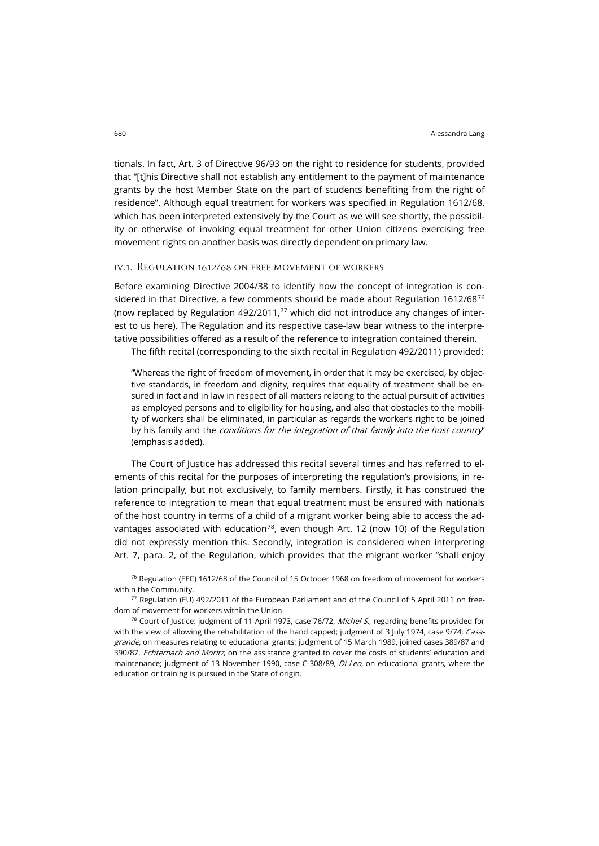tionals. In fact, Art. 3 of Directive 96/93 on the right to residence for students, provided that "[t]his Directive shall not establish any entitlement to the payment of maintenance grants by the host Member State on the part of students benefiting from the right of residence". Although equal treatment for workers was specified in Regulation 1612/68, which has been interpreted extensively by the Court as we will see shortly, the possibility or otherwise of invoking equal treatment for other Union citizens exercising free movement rights on another basis was directly dependent on primary law.

#### iv.1. Regulation 1612/68 on free movement of workers

Before examining Directive 2004/38 to identify how the concept of integration is considered in that Directive, a few comments should be made about Regulation  $1612/68^{76}$  $1612/68^{76}$  $1612/68^{76}$ (now replaced by Regulation 492/2011, $77$  which did not introduce any changes of interest to us here). The Regulation and its respective case-law bear witness to the interpretative possibilities offered as a result of the reference to integration contained therein.

The fifth recital (corresponding to the sixth recital in Regulation 492/2011) provided:

"Whereas the right of freedom of movement, in order that it may be exercised, by objective standards, in freedom and dignity, requires that equality of treatment shall be ensured in fact and in law in respect of all matters relating to the actual pursuit of activities as employed persons and to eligibility for housing, and also that obstacles to the mobility of workers shall be eliminated, in particular as regards the worker's right to be joined by his family and the *conditions for the integration of that family into the host country*" (emphasis added).

The Court of Justice has addressed this recital several times and has referred to elements of this recital for the purposes of interpreting the regulation's provisions, in relation principally, but not exclusively, to family members. Firstly, it has construed the reference to integration to mean that equal treatment must be ensured with nationals of the host country in terms of a child of a migrant worker being able to access the ad-vantages associated with education<sup>[78](#page-17-2)</sup>, even though Art. 12 (now 10) of the Regulation did not expressly mention this. Secondly, integration is considered when interpreting Art. 7, para. 2, of the Regulation, which provides that the migrant worker "shall enjoy

<span id="page-17-0"></span> $76$  Regulation (EEC) 1612/68 of the Council of 15 October 1968 on freedom of movement for workers within the Community.

<span id="page-17-1"></span><sup>77</sup> Regulation (EU) 492/2011 of the European Parliament and of the Council of 5 April 2011 on freedom of movement for workers within the Union.

<span id="page-17-2"></span> $78$  Court of Justice: judgment of 11 April 1973, case 76/72, *Michel S.*, regarding benefits provided for with the view of allowing the rehabilitation of the handicapped; judgment of 3 July 1974, case 9/74, Casagrande, on measures relating to educational grants; judgment of 15 March 1989, joined cases 389/87 and 390/87, Echternach and Moritz, on the assistance granted to cover the costs of students' education and maintenance; judgment of 13 November 1990, case C-308/89, *Di Leo*, on educational grants, where the education or training is pursued in the State of origin.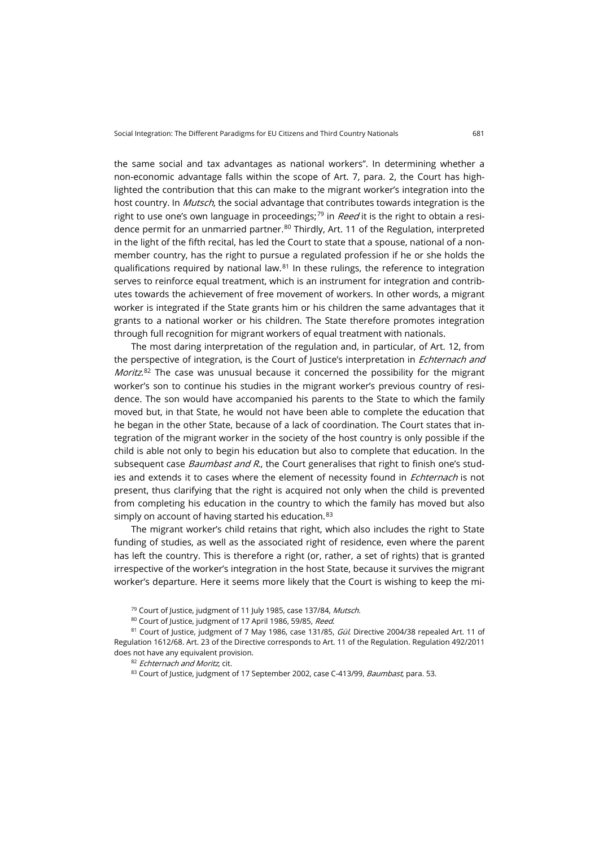the same social and tax advantages as national workers". In determining whether a non-economic advantage falls within the scope of Art. 7, para. 2, the Court has highlighted the contribution that this can make to the migrant worker's integration into the host country. In *Mutsch*, the social advantage that contributes towards integration is the right to use one's own language in proceedings;<sup>[79](#page-18-0)</sup> in Reed it is the right to obtain a resi-dence permit for an unmarried partner.<sup>[80](#page-18-1)</sup> Thirdly, Art. 11 of the Regulation, interpreted in the light of the fifth recital, has led the Court to state that a spouse, national of a nonmember country, has the right to pursue a regulated profession if he or she holds the qualifications required by national law. $81$  In these rulings, the reference to integration serves to reinforce equal treatment, which is an instrument for integration and contributes towards the achievement of free movement of workers. In other words, a migrant worker is integrated if the State grants him or his children the same advantages that it grants to a national worker or his children. The State therefore promotes integration through full recognition for migrant workers of equal treatment with nationals.

The most daring interpretation of the regulation and, in particular, of Art. 12, from the perspective of integration, is the Court of Justice's interpretation in *Echternach and Moritz*.<sup>[82](#page-18-3)</sup> The case was unusual because it concerned the possibility for the migrant worker's son to continue his studies in the migrant worker's previous country of residence. The son would have accompanied his parents to the State to which the family moved but, in that State, he would not have been able to complete the education that he began in the other State, because of a lack of coordination. The Court states that integration of the migrant worker in the society of the host country is only possible if the child is able not only to begin his education but also to complete that education. In the subsequent case *Baumbast and R.*, the Court generalises that right to finish one's studies and extends it to cases where the element of necessity found in *Echternach* is not present, thus clarifying that the right is acquired not only when the child is prevented from completing his education in the country to which the family has moved but also simply on account of having started his education.<sup>[83](#page-18-4)</sup>

The migrant worker's child retains that right, which also includes the right to State funding of studies, as well as the associated right of residence, even where the parent has left the country. This is therefore a right (or, rather, a set of rights) that is granted irrespective of the worker's integration in the host State, because it survives the migrant worker's departure. Here it seems more likely that the Court is wishing to keep the mi-

<sup>&</sup>lt;sup>79</sup> Court of Justice, judgment of 11 July 1985, case 137/84, Mutsch.

<sup>80</sup> Court of Justice, judgment of 17 April 1986, 59/85, Reed.

<span id="page-18-4"></span><span id="page-18-3"></span><span id="page-18-2"></span><span id="page-18-1"></span><span id="page-18-0"></span><sup>81</sup> Court of Justice, judgment of 7 May 1986, case 131/85, Gül. Directive 2004/38 repealed Art. 11 of Regulation 1612/68. Art. 23 of the Directive corresponds to Art. 11 of the Regulation. Regulation 492/2011 does not have any equivalent provision.

<sup>82</sup> Echternach and Moritz, cit.

<sup>83</sup> Court of Justice, judgment of 17 September 2002, case C-413/99, Baumbast, para. 53.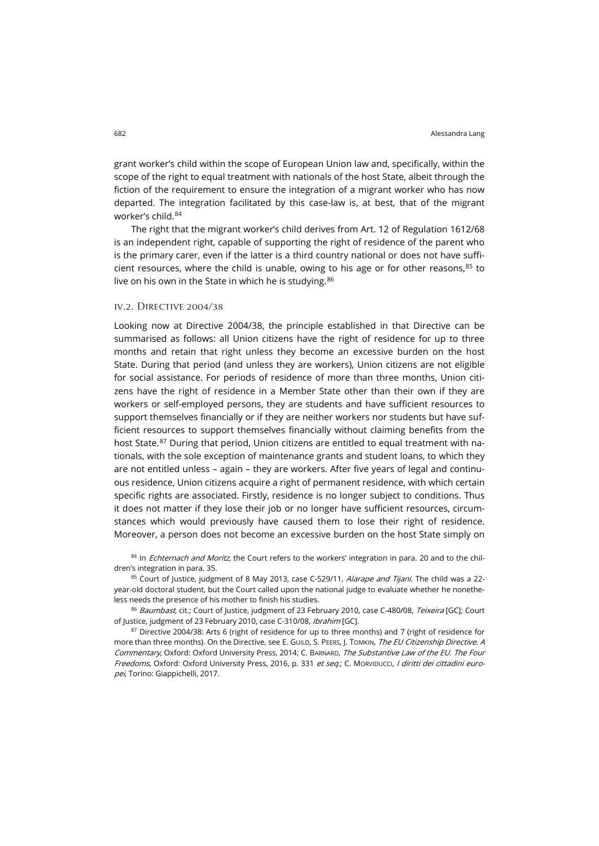grant worker's child within the scope of European Union law and, specifically, within the scope of the right to equal treatment with nationals of the host State, albeit through the fiction of the requirement to ensure the integration of a migrant worker who has now departed. The integration facilitated by this case-law is, at best, that of the migrant worker's child.[84](#page-19-0)

The right that the migrant worker's child derives from Art. 12 of Regulation 1612/68 is an independent right, capable of supporting the right of residence of the parent who is the primary carer, even if the latter is a third country national or does not have sufficient resources, where the child is unable, owing to his age or for other reasons, $85$  to live on his own in the State in which he is studying.<sup>[86](#page-19-2)</sup>

### iv.2. Directive 2004/38

Looking now at Directive 2004/38, the principle established in that Directive can be summarised as follows: all Union citizens have the right of residence for up to three months and retain that right unless they become an excessive burden on the host State. During that period (and unless they are workers), Union citizens are not eligible for social assistance. For periods of residence of more than three months, Union citizens have the right of residence in a Member State other than their own if they are workers or self-employed persons, they are students and have sufficient resources to support themselves financially or if they are neither workers nor students but have sufficient resources to support themselves financially without claiming benefits from the host State.<sup>[87](#page-19-3)</sup> During that period, Union citizens are entitled to equal treatment with nationals, with the sole exception of maintenance grants and student loans, to which they are not entitled unless – again – they are workers. After five years of legal and continuous residence, Union citizens acquire a right of permanent residence, with which certain specific rights are associated. Firstly, residence is no longer subject to conditions. Thus it does not matter if they lose their job or no longer have sufficient resources, circumstances which would previously have caused them to lose their right of residence. Moreover, a person does not become an excessive burden on the host State simply on

<span id="page-19-0"></span>84 In *Echternach and Moritz*, the Court refers to the workers' integration in para. 20 and to the children's integration in para. 35.

<span id="page-19-1"></span>85 Court of Justice, judgment of 8 May 2013, case C-529/11, Alarape and Tijani. The child was a 22year-old doctoral student, but the Court called upon the national judge to evaluate whether he nonetheless needs the presence of his mother to finish his studies.

<span id="page-19-2"></span>86 Baumbast, cit.; Court of Justice, judgment of 23 February 2010, case C-480/08, Teixeira [GC]; Court of Justice, judgment of 23 February 2010, case C-310/08, Ibrahim [GC].

<span id="page-19-3"></span>87 Directive 2004/38: Arts 6 (right of residence for up to three months) and 7 (right of residence for more than three months). On the Directive, see E. GUILD, S. PEERS, J. TOMKIN, The EU Citizenship Directive. A Commentary, Oxford: Oxford University Press, 2014; C. BARNARD, The Substantive Law of the EU. The Four Freedoms, Oxford: Oxford University Press, 2016, p. 331 et seq.; C. MORVIDUCCI, I diritti dei cittadini europei, Torino: Giappichelli, 2017.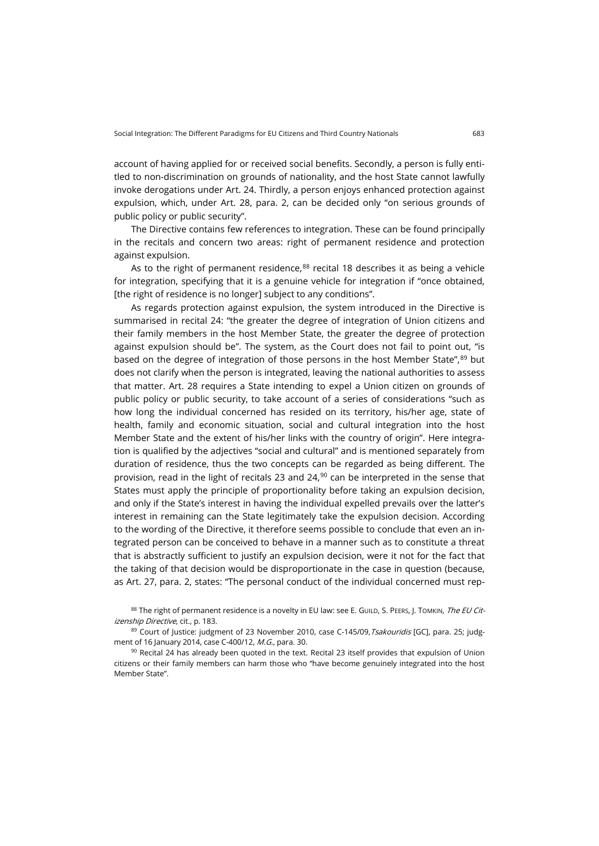account of having applied for or received social benefits. Secondly, a person is fully entitled to non-discrimination on grounds of nationality, and the host State cannot lawfully invoke derogations under Art. 24. Thirdly, a person enjoys enhanced protection against expulsion, which, under Art. 28, para. 2, can be decided only "on serious grounds of public policy or public security".

The Directive contains few references to integration. These can be found principally in the recitals and concern two areas: right of permanent residence and protection against expulsion.

As to the right of permanent residence, $88$  recital 18 describes it as being a vehicle for integration, specifying that it is a genuine vehicle for integration if "once obtained, [the right of residence is no longer] subject to any conditions".

As regards protection against expulsion, the system introduced in the Directive is summarised in recital 24: "the greater the degree of integration of Union citizens and their family members in the host Member State, the greater the degree of protection against expulsion should be". The system, as the Court does not fail to point out, "is based on the degree of integration of those persons in the host Member State",<sup>[89](#page-20-1)</sup> but does not clarify when the person is integrated, leaving the national authorities to assess that matter. Art. 28 requires a State intending to expel a Union citizen on grounds of public policy or public security, to take account of a series of considerations "such as how long the individual concerned has resided on its territory, his/her age, state of health, family and economic situation, social and cultural integration into the host Member State and the extent of his/her links with the country of origin". Here integration is qualified by the adjectives "social and cultural" and is mentioned separately from duration of residence, thus the two concepts can be regarded as being different. The provision, read in the light of recitals 23 and 24,<sup>[90](#page-20-2)</sup> can be interpreted in the sense that States must apply the principle of proportionality before taking an expulsion decision, and only if the State's interest in having the individual expelled prevails over the latter's interest in remaining can the State legitimately take the expulsion decision. According to the wording of the Directive, it therefore seems possible to conclude that even an integrated person can be conceived to behave in a manner such as to constitute a threat that is abstractly sufficient to justify an expulsion decision, were it not for the fact that the taking of that decision would be disproportionate in the case in question (because, as Art. 27, para. 2, states: "The personal conduct of the individual concerned must rep-

<span id="page-20-0"></span>88 The right of permanent residence is a novelty in EU law: see E. GUILD, S. PEERS, J. TOMKIN, The EU Citizenship Directive, cit., p. 183.

<span id="page-20-2"></span>90 Recital 24 has already been quoted in the text. Recital 23 itself provides that expulsion of Union citizens or their family members can harm those who "have become genuinely integrated into the host Member State".

<span id="page-20-1"></span><sup>89</sup> Court of Justice: judgment of 23 November 2010, case C-145/09, Tsakouridis [GC], para. 25; judgment of 16 January 2014, case C-400/12, M.G., para. 30.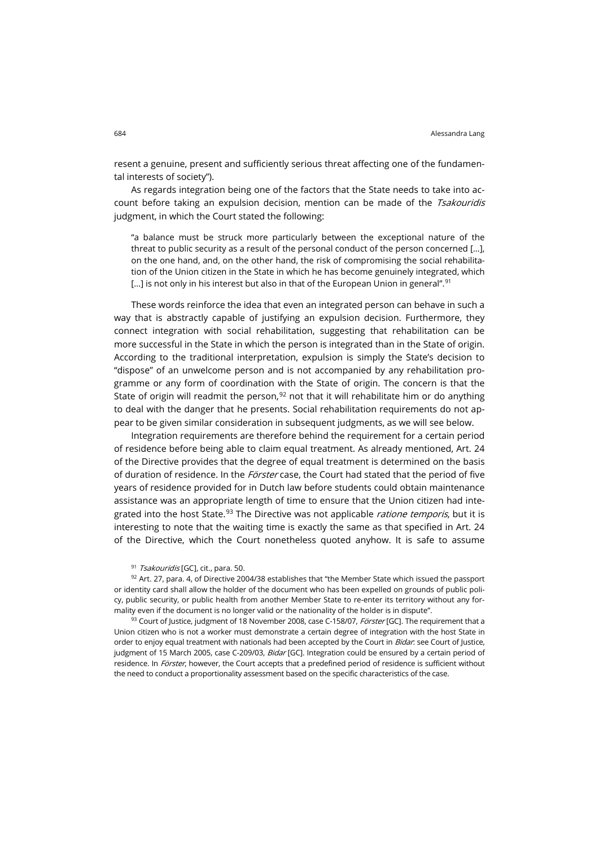resent a genuine, present and sufficiently serious threat affecting one of the fundamental interests of society").

As regards integration being one of the factors that the State needs to take into account before taking an expulsion decision, mention can be made of the Tsakouridis judgment, in which the Court stated the following:

"a balance must be struck more particularly between the exceptional nature of the threat to public security as a result of the personal conduct of the person concerned […], on the one hand, and, on the other hand, the risk of compromising the social rehabilitation of the Union citizen in the State in which he has become genuinely integrated, which [...] is not only in his interest but also in that of the European Union in general".<sup>[91](#page-21-0)</sup>

These words reinforce the idea that even an integrated person can behave in such a way that is abstractly capable of justifying an expulsion decision. Furthermore, they connect integration with social rehabilitation, suggesting that rehabilitation can be more successful in the State in which the person is integrated than in the State of origin. According to the traditional interpretation, expulsion is simply the State's decision to "dispose" of an unwelcome person and is not accompanied by any rehabilitation programme or any form of coordination with the State of origin. The concern is that the State of origin will readmit the person,  $92$  not that it will rehabilitate him or do anything to deal with the danger that he presents. Social rehabilitation requirements do not appear to be given similar consideration in subsequent judgments, as we will see below.

Integration requirements are therefore behind the requirement for a certain period of residence before being able to claim equal treatment. As already mentioned, Art. 24 of the Directive provides that the degree of equal treatment is determined on the basis of duration of residence. In the Förster case, the Court had stated that the period of five years of residence provided for in Dutch law before students could obtain maintenance assistance was an appropriate length of time to ensure that the Union citizen had inte-grated into the host State.<sup>[93](#page-21-2)</sup> The Directive was not applicable *ratione temporis*, but it is interesting to note that the waiting time is exactly the same as that specified in Art. 24 of the Directive, which the Court nonetheless quoted anyhow. It is safe to assume

#### 91 Tsakouridis [GC], cit., para. 50.

<span id="page-21-1"></span><span id="page-21-0"></span> $92$  Art. 27, para. 4, of Directive 2004/38 establishes that "the Member State which issued the passport or identity card shall allow the holder of the document who has been expelled on grounds of public policy, public security, or public health from another Member State to re-enter its territory without any formality even if the document is no longer valid or the nationality of the holder is in dispute".

<span id="page-21-2"></span>93 Court of Justice, judgment of 18 November 2008, case C-158/07, *Förster* [GC]. The requirement that a Union citizen who is not a worker must demonstrate a certain degree of integration with the host State in order to enjoy equal treatment with nationals had been accepted by the Court in Bidar: see Court of Justice, judgment of 15 March 2005, case C-209/03, Bidar [GC]. Integration could be ensured by a certain period of residence. In Förster, however, the Court accepts that a predefined period of residence is sufficient without the need to conduct a proportionality assessment based on the specific characteristics of the case.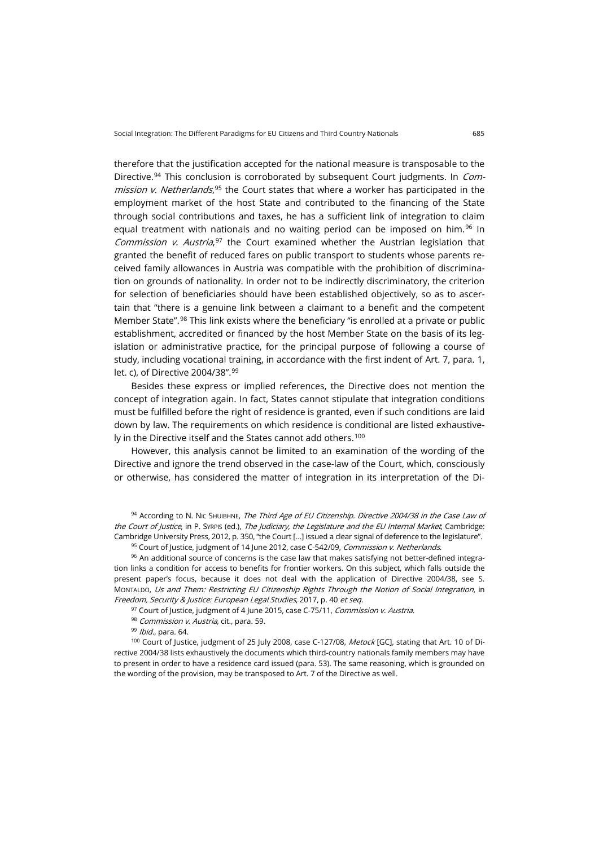therefore that the justification accepted for the national measure is transposable to the Directive.<sup>94</sup> This conclusion is corroborated by subsequent Court judgments. In *Commission v. Netherlands*,<sup>[95](#page-22-1)</sup> the Court states that where a worker has participated in the employment market of the host State and contributed to the financing of the State through social contributions and taxes, he has a sufficient link of integration to claim equal treatment with nationals and no waiting period can be imposed on him.<sup>[96](#page-22-2)</sup> In Commission v. Austria,<sup>[97](#page-22-3)</sup> the Court examined whether the Austrian legislation that granted the benefit of reduced fares on public transport to students whose parents received family allowances in Austria was compatible with the prohibition of discrimination on grounds of nationality. In order not to be indirectly discriminatory, the criterion for selection of beneficiaries should have been established objectively, so as to ascertain that "there is a genuine link between a claimant to a benefit and the competent Member State".<sup>[98](#page-22-4)</sup> This link exists where the beneficiary "is enrolled at a private or public establishment, accredited or financed by the host Member State on the basis of its legislation or administrative practice, for the principal purpose of following a course of study, including vocational training, in accordance with the first indent of Art. 7, para. 1, let. c), of Directive 2004/38".[99](#page-22-5)

Besides these express or implied references, the Directive does not mention the concept of integration again. In fact, States cannot stipulate that integration conditions must be fulfilled before the right of residence is granted, even if such conditions are laid down by law. The requirements on which residence is conditional are listed exhaustive-ly in the Directive itself and the States cannot add others.<sup>[100](#page-22-6)</sup>

However, this analysis cannot be limited to an examination of the wording of the Directive and ignore the trend observed in the case-law of the Court, which, consciously or otherwise, has considered the matter of integration in its interpretation of the Di-

<span id="page-22-0"></span>94 According to N. Nic SHUIBHNE, The Third Age of EU Citizenship. Directive 2004/38 in the Case Law of the Court of Justice, in P. Syrens (ed.), The Judiciary, the Legislature and the EU Internal Market, Cambridge: Cambridge University Press, 2012, p. 350, "the Court […] issued a clear signal of deference to the legislature".

95 Court of Justice, judgment of 14 June 2012, case C-542/09, Commission v. Netherlands.

<span id="page-22-2"></span><span id="page-22-1"></span> $96$  An additional source of concerns is the case law that makes satisfying not better-defined integration links a condition for access to benefits for frontier workers. On this subject, which falls outside the present paper's focus, because it does not deal with the application of Directive 2004/38, see S. MONTALDO, Us and Them: Restricting EU Citizenship Rights Through the Notion of Social Integration, in Freedom, Security & Justice: European Legal Studies, 2017, p. 40 et seq.

<sup>97</sup> Court of Justice, judgment of 4 June 2015, case C-75/11, *Commission v. Austria*.

98 Commission v. Austria, cit., para. 59.

99 Ibid., para. 64.

<span id="page-22-6"></span><span id="page-22-5"></span><span id="page-22-4"></span><span id="page-22-3"></span>100 Court of Justice, judgment of 25 July 2008, case C-127/08, Metock [GC], stating that Art. 10 of Directive 2004/38 lists exhaustively the documents which third-country nationals family members may have to present in order to have a residence card issued (para. 53). The same reasoning, which is grounded on the wording of the provision, may be transposed to Art. 7 of the Directive as well.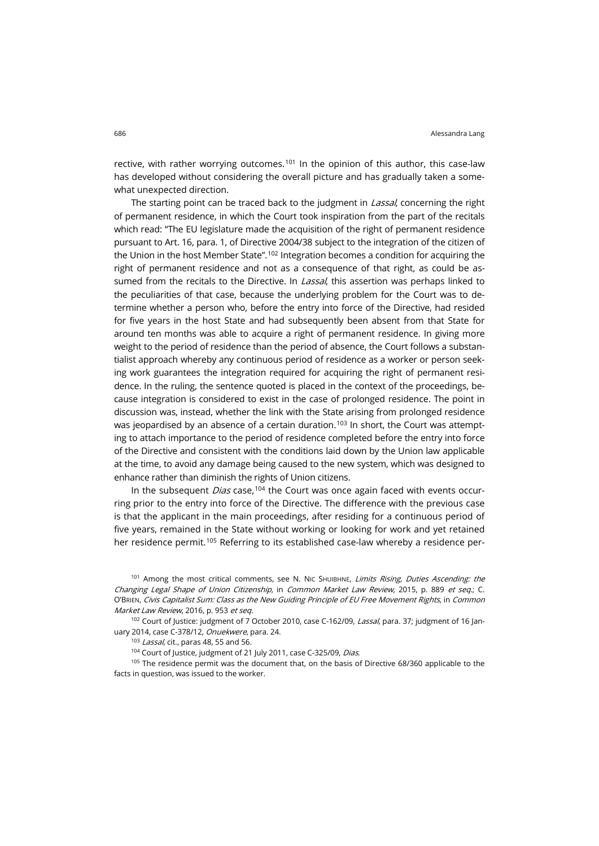rective, with rather worrying outcomes.<sup>[101](#page-23-0)</sup> In the opinion of this author, this case-law has developed without considering the overall picture and has gradually taken a somewhat unexpected direction.

The starting point can be traced back to the judgment in Lassal, concerning the right of permanent residence, in which the Court took inspiration from the part of the recitals which read: "The EU legislature made the acquisition of the right of permanent residence pursuant to Art. 16, para. 1, of Directive 2004/38 subject to the integration of the citizen of the Union in the host Member State".<sup>[102](#page-23-1)</sup> Integration becomes a condition for acquiring the right of permanent residence and not as a consequence of that right, as could be assumed from the recitals to the Directive. In *Lassal*, this assertion was perhaps linked to the peculiarities of that case, because the underlying problem for the Court was to determine whether a person who, before the entry into force of the Directive, had resided for five years in the host State and had subsequently been absent from that State for around ten months was able to acquire a right of permanent residence. In giving more weight to the period of residence than the period of absence, the Court follows a substantialist approach whereby any continuous period of residence as a worker or person seeking work guarantees the integration required for acquiring the right of permanent residence. In the ruling, the sentence quoted is placed in the context of the proceedings, because integration is considered to exist in the case of prolonged residence. The point in discussion was, instead, whether the link with the State arising from prolonged residence was jeopardised by an absence of a certain duration.<sup>[103](#page-23-2)</sup> In short, the Court was attempting to attach importance to the period of residence completed before the entry into force of the Directive and consistent with the conditions laid down by the Union law applicable at the time, to avoid any damage being caused to the new system, which was designed to enhance rather than diminish the rights of Union citizens.

In the subsequent *Dias* case,<sup>[104](#page-23-3)</sup> the Court was once again faced with events occurring prior to the entry into force of the Directive. The difference with the previous case is that the applicant in the main proceedings, after residing for a continuous period of five years, remained in the State without working or looking for work and yet retained her residence permit.<sup>[105](#page-23-4)</sup> Referring to its established case-law whereby a residence per-

<span id="page-23-0"></span><sup>101</sup> Among the most critical comments, see N. Nic SHUIBHNE, Limits Rising, Duties Ascending: the Changing Legal Shape of Union Citizenship, in Common Market Law Review, 2015, p. 889 et seq.; C. O'BRIEN, Civis Capitalist Sum: Class as the New Guiding Principle of EU Free Movement Rights, in Common Market Law Review, 2016, p. 953 et seq.

<span id="page-23-2"></span><span id="page-23-1"></span><sup>102</sup> Court of Justice: judgment of 7 October 2010, case C-162/09, Lassal, para. 37; judgment of 16 January 2014, case C-378/12, Onuekwere, para. 24.

<span id="page-23-4"></span><span id="page-23-3"></span><sup>105</sup> The residence permit was the document that, on the basis of Directive 68/360 applicable to the facts in question, was issued to the worker.

<sup>103</sup> Lassal, cit., paras 48, 55 and 56.

<sup>&</sup>lt;sup>104</sup> Court of Justice, judgment of 21 July 2011, case C-325/09, Dias.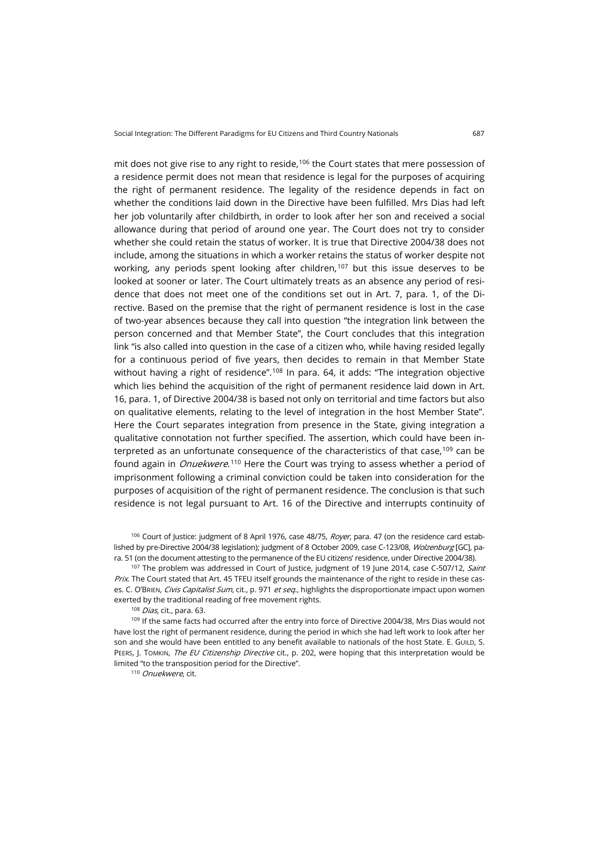mit does not give rise to any right to reside,<sup>[106](#page-24-0)</sup> the Court states that mere possession of a residence permit does not mean that residence is legal for the purposes of acquiring the right of permanent residence. The legality of the residence depends in fact on whether the conditions laid down in the Directive have been fulfilled. Mrs Dias had left her job voluntarily after childbirth, in order to look after her son and received a social allowance during that period of around one year. The Court does not try to consider whether she could retain the status of worker. It is true that Directive 2004/38 does not include, among the situations in which a worker retains the status of worker despite not working, any periods spent looking after children,<sup>[107](#page-24-1)</sup> but this issue deserves to be looked at sooner or later. The Court ultimately treats as an absence any period of residence that does not meet one of the conditions set out in Art. 7, para. 1, of the Directive. Based on the premise that the right of permanent residence is lost in the case of two-year absences because they call into question "the integration link between the person concerned and that Member State", the Court concludes that this integration link "is also called into question in the case of a citizen who, while having resided legally for a continuous period of five years, then decides to remain in that Member State without having a right of residence".<sup>[108](#page-24-2)</sup> In para. 64, it adds: "The integration objective which lies behind the acquisition of the right of permanent residence laid down in Art. 16, para. 1, of Directive 2004/38 is based not only on territorial and time factors but also on qualitative elements, relating to the level of integration in the host Member State". Here the Court separates integration from presence in the State, giving integration a qualitative connotation not further specified. The assertion, which could have been interpreted as an unfortunate consequence of the characteristics of that case, $109$  can be found again in *Onuekwere*.<sup>[110](#page-24-4)</sup> Here the Court was trying to assess whether a period of imprisonment following a criminal conviction could be taken into consideration for the purposes of acquisition of the right of permanent residence. The conclusion is that such residence is not legal pursuant to Art. 16 of the Directive and interrupts continuity of

<span id="page-24-0"></span><sup>106</sup> Court of Justice: judgment of 8 April 1976, case 48/75, Royer, para. 47 (on the residence card established by pre-Directive 2004/38 legislation); judgment of 8 October 2009, case C-123/08, Wolzenburg [GC], para. 51 (on the document attesting to the permanence of the EU citizens' residence, under Directive 2004/38).

<span id="page-24-1"></span><sup>107</sup> The problem was addressed in Court of Justice, judgment of 19 June 2014, case C-507/12, Saint Prix. The Court stated that Art. 45 TFEU itself grounds the maintenance of the right to reside in these cases. C. O'BRIEN, Civis Capitalist Sum, cit., p. 971 et seq., highlights the disproportionate impact upon women exerted by the traditional reading of free movement rights.

108 Dias, cit., para. 63.

<span id="page-24-4"></span><span id="page-24-3"></span><span id="page-24-2"></span>109 If the same facts had occurred after the entry into force of Directive 2004/38, Mrs Dias would not have lost the right of permanent residence, during the period in which she had left work to look after her son and she would have been entitled to any benefit available to nationals of the host State. E. GUILD, S. PEERS, J. TOMKIN, The EU Citizenship Directive cit., p. 202, were hoping that this interpretation would be limited "to the transposition period for the Directive".

110 Onuekwere, cit.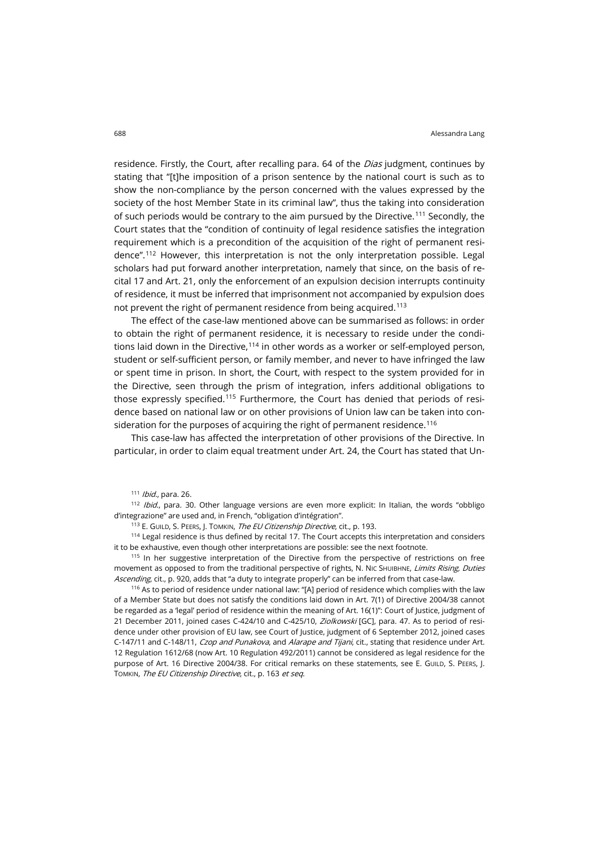residence. Firstly, the Court, after recalling para. 64 of the *Dias* judgment, continues by stating that "[t]he imposition of a prison sentence by the national court is such as to show the non-compliance by the person concerned with the values expressed by the society of the host Member State in its criminal law", thus the taking into consideration of such periods would be contrary to the aim pursued by the Directive.[111](#page-25-0) Secondly, the Court states that the "condition of continuity of legal residence satisfies the integration requirement which is a precondition of the acquisition of the right of permanent residence".[112](#page-25-1) However, this interpretation is not the only interpretation possible. Legal scholars had put forward another interpretation, namely that since, on the basis of recital 17 and Art. 21, only the enforcement of an expulsion decision interrupts continuity of residence, it must be inferred that imprisonment not accompanied by expulsion does not prevent the right of permanent residence from being acquired.<sup>[113](#page-25-2)</sup>

The effect of the case-law mentioned above can be summarised as follows: in order to obtain the right of permanent residence, it is necessary to reside under the conditions laid down in the Directive, [114](#page-25-3) in other words as a worker or self-employed person, student or self-sufficient person, or family member, and never to have infringed the law or spent time in prison. In short, the Court, with respect to the system provided for in the Directive, seen through the prism of integration, infers additional obligations to those expressly specified.[115](#page-25-4) Furthermore, the Court has denied that periods of residence based on national law or on other provisions of Union law can be taken into con-sideration for the purposes of acquiring the right of permanent residence.<sup>[116](#page-25-5)</sup>

This case-law has affected the interpretation of other provisions of the Directive. In particular, in order to claim equal treatment under Art. 24, the Court has stated that Un-

111 *Ibid.*, para. 26.

<span id="page-25-1"></span><span id="page-25-0"></span>112 Ibid., para. 30. Other language versions are even more explicit: In Italian, the words "obbligo d'integrazione" are used and, in French, "obligation d'intégration".

113 E. GUILD, S. PEERS, J. TOMKIN, The EU Citizenship Directive, cit., p. 193.

<span id="page-25-3"></span><span id="page-25-2"></span>114 Legal residence is thus defined by recital 17. The Court accepts this interpretation and considers it to be exhaustive, even though other interpretations are possible: see the next footnote.

<span id="page-25-4"></span><sup>115</sup> In her suggestive interpretation of the Directive from the perspective of restrictions on free movement as opposed to from the traditional perspective of rights, N. NIC SHUIBHNE, Limits Rising, Duties Ascending, cit., p. 920, adds that "a duty to integrate properly" can be inferred from that case-law.

<span id="page-25-5"></span><sup>116</sup> As to period of residence under national law: "[A] period of residence which complies with the law of a Member State but does not satisfy the conditions laid down in Art. 7(1) of Directive 2004/38 cannot be regarded as a 'legal' period of residence within the meaning of Art. 16(1)": Court of Justice, judgment of 21 December 2011, joined cases C-424/10 and C-425/10, Ziolkowski [GC], para. 47. As to period of residence under other provision of EU law, see Court of Justice, judgment of 6 September 2012, joined cases C-147/11 and C-148/11, Czop and Punakova, and Alarape and Tijani, cit., stating that residence under Art. 12 Regulation 1612/68 (now Art. 10 Regulation 492/2011) cannot be considered as legal residence for the purpose of Art. 16 Directive 2004/38. For critical remarks on these statements, see E. GUILD, S. PEERS, J. TOMKIN, The EU Citizenship Directive, cit., p. 163 et seq.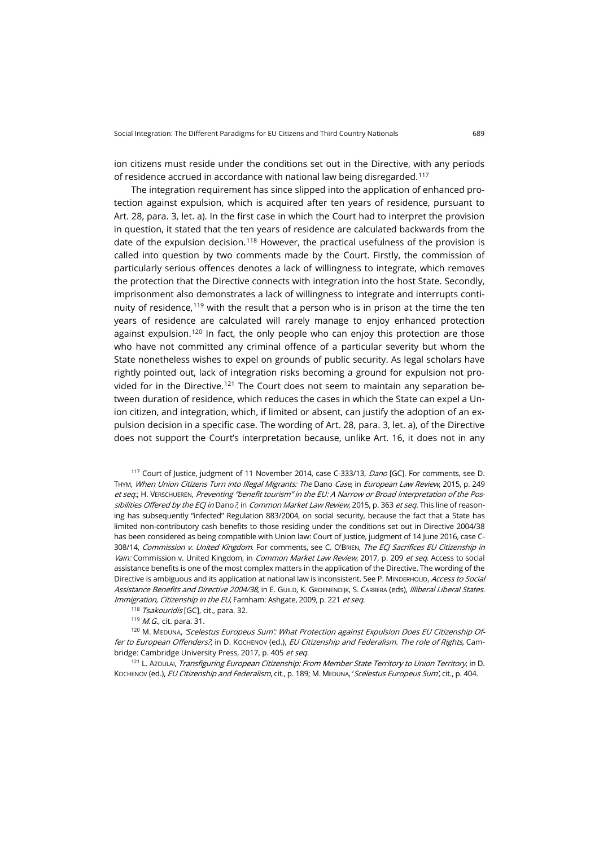ion citizens must reside under the conditions set out in the Directive, with any periods of residence accrued in accordance with national law being disregarded.[117](#page-26-0)

The integration requirement has since slipped into the application of enhanced protection against expulsion, which is acquired after ten years of residence, pursuant to Art. 28, para. 3, let. a). In the first case in which the Court had to interpret the provision in question, it stated that the ten years of residence are calculated backwards from the date of the expulsion decision.<sup>[118](#page-26-1)</sup> However, the practical usefulness of the provision is called into question by two comments made by the Court. Firstly, the commission of particularly serious offences denotes a lack of willingness to integrate, which removes the protection that the Directive connects with integration into the host State. Secondly, imprisonment also demonstrates a lack of willingness to integrate and interrupts conti-nuity of residence,<sup>[119](#page-26-2)</sup> with the result that a person who is in prison at the time the ten years of residence are calculated will rarely manage to enjoy enhanced protection against expulsion.<sup>[120](#page-26-3)</sup> In fact, the only people who can enjoy this protection are those who have not committed any criminal offence of a particular severity but whom the State nonetheless wishes to expel on grounds of public security. As legal scholars have rightly pointed out, lack of integration risks becoming a ground for expulsion not pro-vided for in the Directive.<sup>[121](#page-26-4)</sup> The Court does not seem to maintain any separation between duration of residence, which reduces the cases in which the State can expel a Union citizen, and integration, which, if limited or absent, can justify the adoption of an expulsion decision in a specific case. The wording of Art. 28, para. 3, let. a), of the Directive does not support the Court's interpretation because, unlike Art. 16, it does not in any

<span id="page-26-0"></span><sup>117</sup> Court of Justice, judgment of 11 November 2014, case C-333/13, *Dano* [GC]. For comments, see D. THYM, When Union Citizens Turn into Illegal Migrants: The Dano Case, in European Law Review, 2015, p. 249 et seq.; H. VERSCHUEREN, Preventing "benefit tourism" in the EU: A Narrow or Broad Interpretation of the Possibilities Offered by the ECJ in Dano?, in Common Market Law Review, 2015, p. 363 et seq. This line of reasoning has subsequently "infected" Regulation 883/2004, on social security, because the fact that a State has limited non-contributory cash benefits to those residing under the conditions set out in Directive 2004/38 has been considered as being compatible with Union law: Court of Justice, judgment of 14 June 2016, case C-308/14, Commission v. United Kingdom. For comments, see C. O'BRIEN, The ECJ Sacrifices EU Citizenship in Vain: Commission v. United Kingdom, in Common Market Law Review, 2017, p. 209 et seq. Access to social assistance benefits is one of the most complex matters in the application of the Directive. The wording of the Directive is ambiguous and its application at national law is inconsistent. See P. MINDERHOUD, Access to Social Assistance Benefits and Directive 2004/38, in E. GUILD, K. GROENENDIJK, S. CARRERA (eds), Illiberal Liberal States. Immigration, Citizenship in the EU, Farnham: Ashgate, 2009, p. 221 et seq.

118 Tsakouridis [GC], cit., para. 32.

119 *M.G.*, cit. para. 31.

<span id="page-26-3"></span><span id="page-26-2"></span><span id="page-26-1"></span>120 M. MEDUNA, 'Scelestus Europeus Sum': What Protection against Expulsion Does EU Citizenship Offer to European Offenders?, in D. KOCHENOV (ed.), EU Citizenship and Federalism. The role of Rights, Cambridge: Cambridge University Press, 2017, p. 405 et seq.

<span id="page-26-4"></span><sup>121</sup> L. AzouLAI, *Transfiguring European Citizenship: From Member State Territory to Union Territory*, in D. KOCHENOV (ed.), EU Citizenship and Federalism, cit., p. 189; M. MEDUNA, 'Scelestus Europeus Sum', cit., p. 404.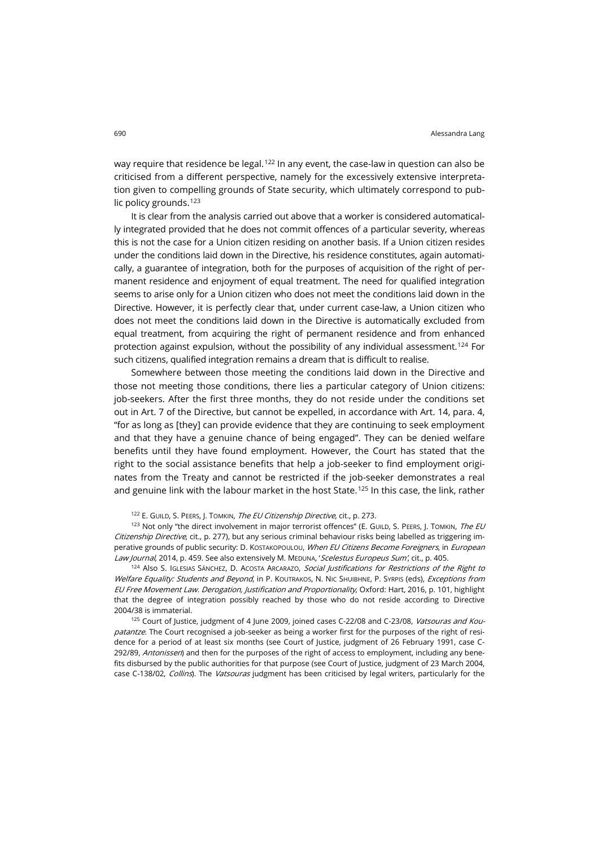way require that residence be legal.<sup>[122](#page-27-0)</sup> In any event, the case-law in question can also be criticised from a different perspective, namely for the excessively extensive interpretation given to compelling grounds of State security, which ultimately correspond to pub-lic policy grounds.<sup>[123](#page-27-1)</sup>

It is clear from the analysis carried out above that a worker is considered automatically integrated provided that he does not commit offences of a particular severity, whereas this is not the case for a Union citizen residing on another basis. If a Union citizen resides under the conditions laid down in the Directive, his residence constitutes, again automatically, a guarantee of integration, both for the purposes of acquisition of the right of permanent residence and enjoyment of equal treatment. The need for qualified integration seems to arise only for a Union citizen who does not meet the conditions laid down in the Directive. However, it is perfectly clear that, under current case-law, a Union citizen who does not meet the conditions laid down in the Directive is automatically excluded from equal treatment, from acquiring the right of permanent residence and from enhanced protection against expulsion, without the possibility of any individual assessment.[124](#page-27-2) For such citizens, qualified integration remains a dream that is difficult to realise.

Somewhere between those meeting the conditions laid down in the Directive and those not meeting those conditions, there lies a particular category of Union citizens: job-seekers. After the first three months, they do not reside under the conditions set out in Art. 7 of the Directive, but cannot be expelled, in accordance with Art. 14, para. 4, "for as long as [they] can provide evidence that they are continuing to seek employment and that they have a genuine chance of being engaged". They can be denied welfare benefits until they have found employment. However, the Court has stated that the right to the social assistance benefits that help a job-seeker to find employment originates from the Treaty and cannot be restricted if the job-seeker demonstrates a real and genuine link with the labour market in the host State.<sup>[125](#page-27-3)</sup> In this case, the link, rather

122 E. GUILD, S. PEERS, J. TOMKIN, The EU Citizenship Directive, cit., p. 273.

<span id="page-27-1"></span><span id="page-27-0"></span>123 Not only "the direct involvement in major terrorist offences" (E. GUILD, S. PEERS, J. TOMKIN, The EU Citizenship Directive, cit., p. 277), but any serious criminal behaviour risks being labelled as triggering imperative grounds of public security: D. KOSTAKOPOULOU, When EU Citizens Become Foreigners, in European Law Journal, 2014, p. 459. See also extensively M. MEDUNA, 'Scelestus Europeus Sum', cit., p. 405.

<span id="page-27-2"></span>124 Also S. IGLESIAS SÁNCHEZ, D. ACOSTA ARCARAZO, Social Justifications for Restrictions of the Right to Welfare Equality: Students and Beyond, in P. KOUTRAKOS, N. NIC SHUIBHNE, P. SYRPIS (eds), Exceptions from EU Free Movement Law. Derogation, Justification and Proportionality, Oxford: Hart, 2016, p. 101, highlight that the degree of integration possibly reached by those who do not reside according to Directive 2004/38 is immaterial.

<span id="page-27-3"></span><sup>125</sup> Court of Justice, judgment of 4 June 2009, joined cases C-22/08 and C-23/08, Vatsouras and Koupatantze. The Court recognised a job-seeker as being a worker first for the purposes of the right of residence for a period of at least six months (see Court of Justice, judgment of 26 February 1991, case C-292/89, Antonissen) and then for the purposes of the right of access to employment, including any benefits disbursed by the public authorities for that purpose (see Court of Justice, judgment of 23 March 2004, case C-138/02, Collins). The Vatsouras judgment has been criticised by legal writers, particularly for the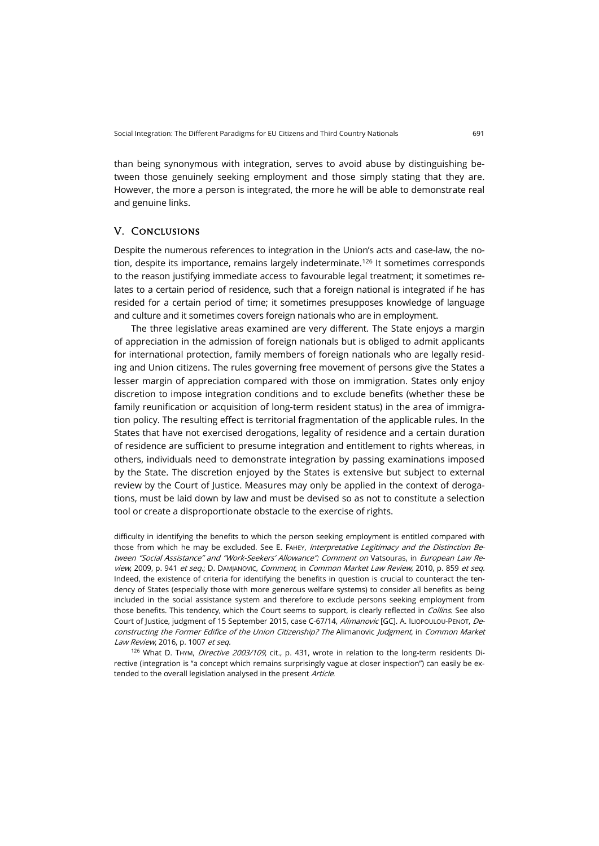than being synonymous with integration, serves to avoid abuse by distinguishing between those genuinely seeking employment and those simply stating that they are. However, the more a person is integrated, the more he will be able to demonstrate real and genuine links.

### V. Conclusions

Despite the numerous references to integration in the Union's acts and case-law, the notion, despite its importance, remains largely indeterminate.<sup>126</sup> It sometimes corresponds to the reason justifying immediate access to favourable legal treatment; it sometimes relates to a certain period of residence, such that a foreign national is integrated if he has resided for a certain period of time; it sometimes presupposes knowledge of language and culture and it sometimes covers foreign nationals who are in employment.

The three legislative areas examined are very different. The State enjoys a margin of appreciation in the admission of foreign nationals but is obliged to admit applicants for international protection, family members of foreign nationals who are legally residing and Union citizens. The rules governing free movement of persons give the States a lesser margin of appreciation compared with those on immigration. States only enjoy discretion to impose integration conditions and to exclude benefits (whether these be family reunification or acquisition of long-term resident status) in the area of immigration policy. The resulting effect is territorial fragmentation of the applicable rules. In the States that have not exercised derogations, legality of residence and a certain duration of residence are sufficient to presume integration and entitlement to rights whereas, in others, individuals need to demonstrate integration by passing examinations imposed by the State. The discretion enjoyed by the States is extensive but subject to external review by the Court of Justice. Measures may only be applied in the context of derogations, must be laid down by law and must be devised so as not to constitute a selection tool or create a disproportionate obstacle to the exercise of rights.

difficulty in identifying the benefits to which the person seeking employment is entitled compared with those from which he may be excluded. See E. FAHEY, Interpretative Legitimacy and the Distinction Between "Social Assistance" and "Work-Seekers' Allowance": Comment on Vatsouras, in European Law Review, 2009, p. 941 et seq.; D. DAMJANOVIC, Comment, in Common Market Law Review, 2010, p. 859 et seq. Indeed, the existence of criteria for identifying the benefits in question is crucial to counteract the tendency of States (especially those with more generous welfare systems) to consider all benefits as being included in the social assistance system and therefore to exclude persons seeking employment from those benefits. This tendency, which the Court seems to support, is clearly reflected in Collins. See also Court of Justice, judgment of 15 September 2015, case C-67/14, Alimanovic [GC]. A. ILIOPOULOU-PENOT, Deconstructing the Former Edifice of the Union Citizenship? The Alimanovic Judgment, in Common Market Law Review, 2016, p. 1007 et seq.

<span id="page-28-0"></span>126 What D. THYM, Directive 2003/109, cit., p. 431, wrote in relation to the long-term residents Directive (integration is "a concept which remains surprisingly vague at closer inspection") can easily be extended to the overall legislation analysed in the present Article.